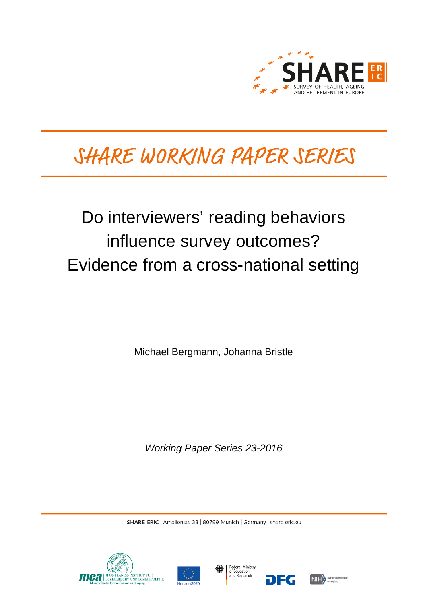

# SHARE WORKING PAPER SERIES

# Do interviewers' reading behaviors influence survey outcomes? Evidence from a cross-national setting

Michael Bergmann, Johanna Bristle

*Working Paper Series 23-2016*

SHARE-ERIC | Amalienstr. 33 | 80799 Munich | Germany | share-eric.eu







7EG

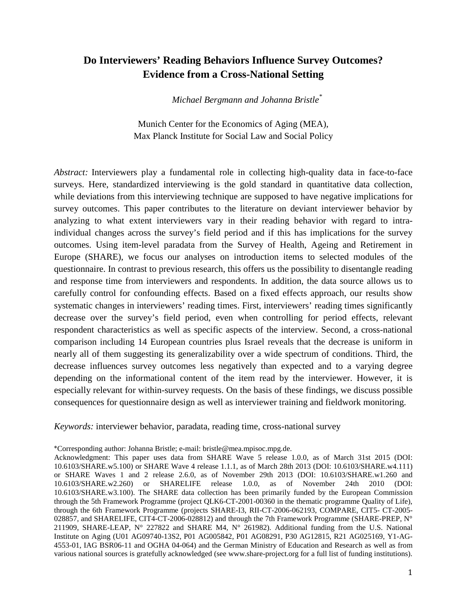# **Do Interviewers' Reading Behaviors Influence Survey Outcomes? Evidence from a Cross-National Setting**

*Michael Bergmann and Johanna Bristle\**

Munich Center for the Economics of Aging (MEA), Max Planck Institute for Social Law and Social Policy

*Abstract:* Interviewers play a fundamental role in collecting high-quality data in face-to-face surveys. Here, standardized interviewing is the gold standard in quantitative data collection, while deviations from this interviewing technique are supposed to have negative implications for survey outcomes. This paper contributes to the literature on deviant interviewer behavior by analyzing to what extent interviewers vary in their reading behavior with regard to intraindividual changes across the survey's field period and if this has implications for the survey outcomes. Using item-level paradata from the Survey of Health, Ageing and Retirement in Europe (SHARE), we focus our analyses on introduction items to selected modules of the questionnaire. In contrast to previous research, this offers us the possibility to disentangle reading and response time from interviewers and respondents. In addition, the data source allows us to carefully control for confounding effects. Based on a fixed effects approach, our results show systematic changes in interviewers' reading times. First, interviewers' reading times significantly decrease over the survey's field period, even when controlling for period effects, relevant respondent characteristics as well as specific aspects of the interview. Second, a cross-national comparison including 14 European countries plus Israel reveals that the decrease is uniform in nearly all of them suggesting its generalizability over a wide spectrum of conditions. Third, the decrease influences survey outcomes less negatively than expected and to a varying degree depending on the informational content of the item read by the interviewer. However, it is especially relevant for within-survey requests. On the basis of these findings, we discuss possible consequences for questionnaire design as well as interviewer training and fieldwork monitoring.

*Keywords:* interviewer behavior, paradata, reading time, cross-national survey

\*Corresponding author: Johanna Bristle; e-mail: bristle@mea.mpisoc.mpg.de.

Acknowledgment: This paper uses data from SHARE Wave 5 release 1.0.0, as of March 31st 2015 (DOI: 10.6103/SHARE.w5.100) or SHARE Wave 4 release 1.1.1, as of March 28th 2013 (DOI: 10.6103/SHARE.w4.111) or SHARE Waves 1 and 2 release 2.6.0, as of November 29th 2013 (DOI: 10.6103/SHARE.w1.260 and 10.6103/SHARE.w2.260) or SHARELIFE release 1.0.0, as of November 24th 2010 (DOI: 10.6103/SHARE.w3.100). The SHARE data collection has been primarily funded by the European Commission through the 5th Framework Programme (project QLK6-CT-2001-00360 in the thematic programme Quality of Life), through the 6th Framework Programme (projects SHARE-I3, RII-CT-2006-062193, COMPARE, CIT5- CT-2005- 028857, and SHARELIFE, CIT4-CT-2006-028812) and through the 7th Framework Programme (SHARE-PREP, N° 211909, SHARE-LEAP, N° 227822 and SHARE M4, N° 261982). Additional funding from the U.S. National Institute on Aging (U01 AG09740-13S2, P01 AG005842, P01 AG08291, P30 AG12815, R21 AG025169, Y1-AG-4553-01, IAG BSR06-11 and OGHA 04-064) and the German Ministry of Education and Research as well as from various national sources is gratefully acknowledged (see www.share-project.org for a full list of funding institutions).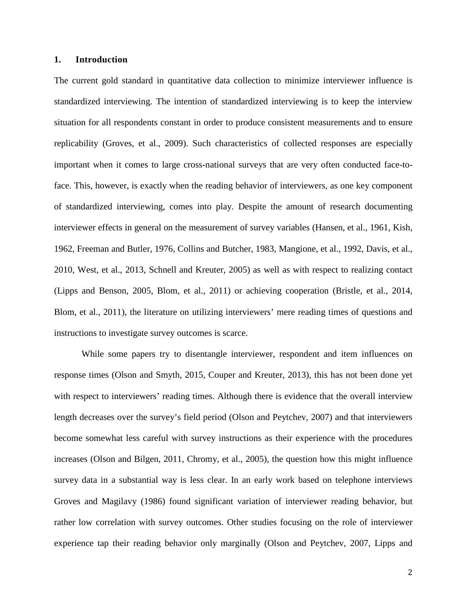### **1. Introduction**

The current gold standard in quantitative data collection to minimize interviewer influence is standardized interviewing. The intention of standardized interviewing is to keep the interview situation for all respondents constant in order to produce consistent measurements and to ensure replicability [\(Groves, et al., 2009\)](#page-28-0). Such characteristics of collected responses are especially important when it comes to large cross-national surveys that are very often conducted face-toface. This, however, is exactly when the reading behavior of interviewers, as one key component of standardized interviewing, comes into play. Despite the amount of research documenting interviewer effects in general on the measurement of survey variables [\(Hansen, et al., 1961,](#page-28-1) [Kish,](#page-28-2)  [1962,](#page-28-2) [Freeman and Butler, 1976,](#page-28-3) [Collins and Butcher, 1983,](#page-27-0) [Mangione, et al., 1992,](#page-29-0) [Davis, et al.,](#page-28-4)  [2010,](#page-28-4) [West, et al., 2013,](#page-29-1) [Schnell and Kreuter, 2005\)](#page-29-2) as well as with respect to realizing contact [\(Lipps and Benson, 2005,](#page-28-5) [Blom, et al., 2011\)](#page-27-1) or achieving cooperation [\(Bristle, et al., 2014,](#page-27-2) [Blom, et al., 2011\)](#page-27-1), the literature on utilizing interviewers' mere reading times of questions and instructions to investigate survey outcomes is scarce.

While some papers try to disentangle interviewer, respondent and item influences on response times [\(Olson and Smyth, 2015,](#page-29-3) [Couper and Kreuter, 2013\)](#page-28-6), this has not been done yet with respect to interviewers' reading times. Although there is evidence that the overall interview length decreases over the survey's field period [\(Olson and Peytchev, 2007\)](#page-29-4) and that interviewers become somewhat less careful with survey instructions as their experience with the procedures increases [\(Olson and Bilgen, 2011,](#page-29-5) [Chromy, et al., 2005\)](#page-27-3), the question how this might influence survey data in a substantial way is less clear. In an early work based on telephone interviews Groves and Magilavy [\(1986\)](#page-28-7) found significant variation of interviewer reading behavior, but rather low correlation with survey outcomes. Other studies focusing on the role of interviewer experience tap their reading behavior only marginally [\(Olson and Peytchev, 2007,](#page-29-4) [Lipps and](#page-28-8)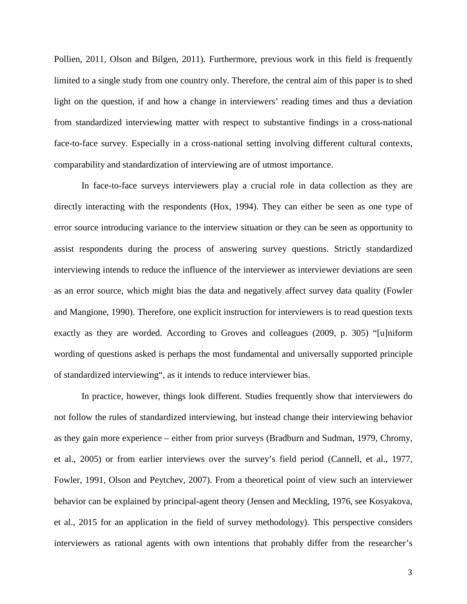[Pollien, 2011,](#page-28-8) [Olson and Bilgen, 2011\)](#page-29-5). Furthermore, previous work in this field is frequently limited to a single study from one country only. Therefore, the central aim of this paper is to shed light on the question, if and how a change in interviewers' reading times and thus a deviation from standardized interviewing matter with respect to substantive findings in a cross-national face-to-face survey. Especially in a cross-national setting involving different cultural contexts, comparability and standardization of interviewing are of utmost importance.

In face-to-face surveys interviewers play a crucial role in data collection as they are directly interacting with the respondents [\(Hox, 1994\)](#page-28-9). They can either be seen as one type of error source introducing variance to the interview situation or they can be seen as opportunity to assist respondents during the process of answering survey questions. Strictly standardized interviewing intends to reduce the influence of the interviewer as interviewer deviations are seen as an error source, which might bias the data and negatively affect survey data quality [\(Fowler](#page-28-10)  [and Mangione, 1990\)](#page-28-10). Therefore, one explicit instruction for interviewers is to read question texts exactly as they are worded. According to [Groves and colleagues \(2009, p. 305\)](#page-27-3) "[u]niform wording of questions asked is perhaps the most fundamental and universally supported principle of standardized interviewing", as it intends to reduce interviewer bias.

In practice, however, things look different. Studies frequently show that interviewers do not follow the rules of standardized interviewing, but instead change their interviewing behavior as they gain more experience – either from prior surveys (Bradburn [and Sudman, 1979,](#page-27-4) [Chromy,](#page-27-3)  [et al., 2005\)](#page-27-3) or from earlier interviews over the survey's field period [\(Cannell, et al., 1977,](#page-27-5) [Fowler, 1991,](#page-28-11) [Olson and Peytchev, 2007\)](#page-29-4). From a theoretical point of view such an interviewer behavior can be explained by principal-agent theory [\(Jensen and Meckling, 1976,](#page-28-12) [see Kosyakova,](#page-28-13)  [et al., 2015 for an application in the field of survey methodology\)](#page-28-13). This perspective considers interviewers as rational agents with own intentions that probably differ from the researcher's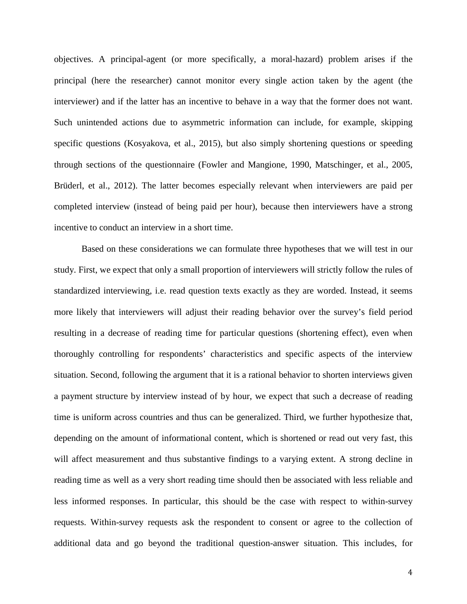objectives. A principal-agent (or more specifically, a moral-hazard) problem arises if the principal (here the researcher) cannot monitor every single action taken by the agent (the interviewer) and if the latter has an incentive to behave in a way that the former does not want. Such unintended actions due to asymmetric information can include, for example, skipping specific questions [\(Kosyakova, et al., 2015\)](#page-28-13), but also simply shortening questions or speeding through sections of the questionnaire [\(Fowler and Mangione, 1990,](#page-28-10) [Matschinger, et al., 2005,](#page-29-6) [Brüderl, et al., 2012\)](#page-27-6). The latter becomes especially relevant when interviewers are paid per completed interview (instead of being paid per hour), because then interviewers have a strong incentive to conduct an interview in a short time.

Based on these considerations we can formulate three hypotheses that we will test in our study. First, we expect that only a small proportion of interviewers will strictly follow the rules of standardized interviewing, i.e. read question texts exactly as they are worded. Instead, it seems more likely that interviewers will adjust their reading behavior over the survey's field period resulting in a decrease of reading time for particular questions (shortening effect), even when thoroughly controlling for respondents' characteristics and specific aspects of the interview situation. Second, following the argument that it is a rational behavior to shorten interviews given a payment structure by interview instead of by hour, we expect that such a decrease of reading time is uniform across countries and thus can be generalized. Third, we further hypothesize that, depending on the amount of informational content, which is shortened or read out very fast, this will affect measurement and thus substantive findings to a varying extent. A strong decline in reading time as well as a very short reading time should then be associated with less reliable and less informed responses. In particular, this should be the case with respect to within-survey requests. Within-survey requests ask the respondent to consent or agree to the collection of additional data and go beyond the traditional question-answer situation. This includes, for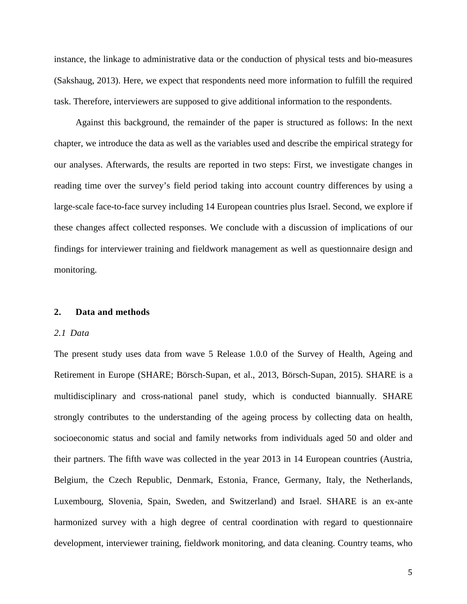instance, the linkage to administrative data or the conduction of physical tests and bio-measures [\(Sakshaug, 2013\)](#page-29-7). Here, we expect that respondents need more information to fulfill the required task. Therefore, interviewers are supposed to give additional information to the respondents.

Against this background, the remainder of the paper is structured as follows: In the next chapter, we introduce the data as well as the variables used and describe the empirical strategy for our analyses. Afterwards, the results are reported in two steps: First, we investigate changes in reading time over the survey's field period taking into account country differences by using a large-scale face-to-face survey including 14 European countries plus Israel. Second, we explore if these changes affect collected responses. We conclude with a discussion of implications of our findings for interviewer training and fieldwork management as well as questionnaire design and monitoring.

### **2. Data and methods**

### *2.1 Data*

The present study uses data from wave 5 Release 1.0.0 of the Survey of Health, Ageing and Retirement in Europe (SHARE; [Börsch-Supan, et al., 2013,](#page-27-7) [Börsch-Supan, 2015\)](#page-27-8). SHARE is a multidisciplinary and cross-national panel study, which is conducted biannually. SHARE strongly contributes to the understanding of the ageing process by collecting data on health, socioeconomic status and social and family networks from individuals aged 50 and older and their partners. The fifth wave was collected in the year 2013 in 14 European countries (Austria, Belgium, the Czech Republic, Denmark, Estonia, France, Germany, Italy, the Netherlands, Luxembourg, Slovenia, Spain, Sweden, and Switzerland) and Israel. SHARE is an ex-ante harmonized survey with a high degree of central coordination with regard to questionnaire development, interviewer training, fieldwork monitoring, and data cleaning. Country teams, who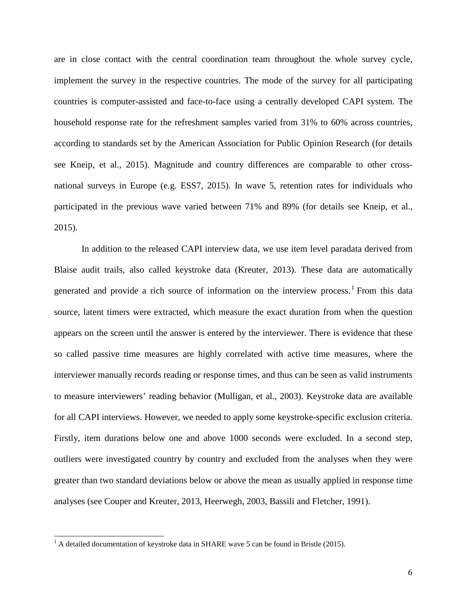are in close contact with the central coordination team throughout the whole survey cycle, implement the survey in the respective countries. The mode of the survey for all participating countries is computer-assisted and face-to-face using a centrally developed CAPI system. The household response rate for the refreshment samples varied from 31% to 60% across countries, according to standards set by the American Association for Public Opinion Research [\(for details](#page-28-14)  [see Kneip, et al., 2015\)](#page-28-14). Magnitude and country differences are comparable to other crossnational surveys in Europe [\(e.g. ESS7, 2015\)](#page-28-15). In wave 5, retention rates for individuals who participated in the previous wave varied between 71% and 89% [\(for details see Kneip, et al.,](#page-28-14)  [2015\)](#page-28-14).

In addition to the released CAPI interview data, we use item level paradata derived from Blaise audit trails, also called keystroke data [\(Kreuter, 2013\)](#page-28-16). These data are automatically generated and provide a rich source of information on the interview process.<sup>[1](#page-6-0)</sup> From this data source, latent timers were extracted, which measure the exact duration from when the question appears on the screen until the answer is entered by the interviewer. There is evidence that these so called passive time measures are highly correlated with active time measures, where the interviewer manually records reading or response times, and thus can be seen as valid instruments to measure interviewers' reading behavior [\(Mulligan, et al., 2003\)](#page-29-8). Keystroke data are available for all CAPI interviews. However, we needed to apply some keystroke-specific exclusion criteria. Firstly, item durations below one and above 1000 seconds were excluded. In a second step, outliers were investigated country by country and excluded from the analyses when they were greater than two standard deviations below or above the mean as usually applied in response time analyses (see [Couper and Kreuter, 2013,](#page-27-9) [Heerwegh, 2003,](#page-28-17) [Bassili and Fletcher, 1991\)](#page-27-10).

<span id="page-6-0"></span> $<sup>1</sup>$  A detailed documentation of keystroke data in SHARE wave 5 can be found in Bristle (2015).</sup>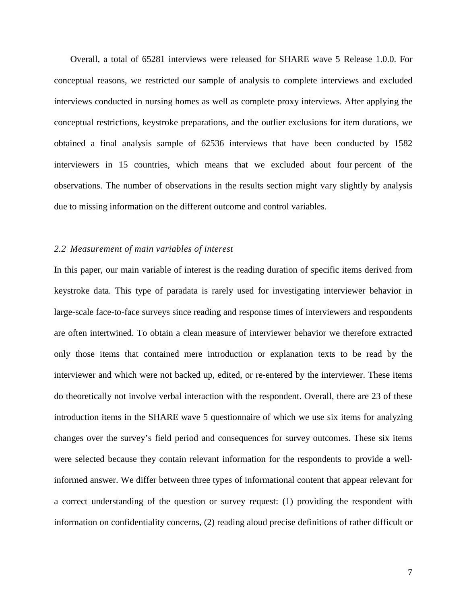Overall, a total of 65281 interviews were released for SHARE wave 5 Release 1.0.0. For conceptual reasons, we restricted our sample of analysis to complete interviews and excluded interviews conducted in nursing homes as well as complete proxy interviews. After applying the conceptual restrictions, keystroke preparations, and the outlier exclusions for item durations, we obtained a final analysis sample of 62536 interviews that have been conducted by 1582 interviewers in 15 countries, which means that we excluded about four percent of the observations. The number of observations in the results section might vary slightly by analysis due to missing information on the different outcome and control variables.

### *2.2 Measurement of main variables of interest*

In this paper, our main variable of interest is the reading duration of specific items derived from keystroke data. This type of paradata is rarely used for investigating interviewer behavior in large-scale face-to-face surveys since reading and response times of interviewers and respondents are often intertwined. To obtain a clean measure of interviewer behavior we therefore extracted only those items that contained mere introduction or explanation texts to be read by the interviewer and which were not backed up, edited, or re-entered by the interviewer. These items do theoretically not involve verbal interaction with the respondent. Overall, there are 23 of these introduction items in the SHARE wave 5 questionnaire of which we use six items for analyzing changes over the survey's field period and consequences for survey outcomes. These six items were selected because they contain relevant information for the respondents to provide a wellinformed answer. We differ between three types of informational content that appear relevant for a correct understanding of the question or survey request: (1) providing the respondent with information on confidentiality concerns, (2) reading aloud precise definitions of rather difficult or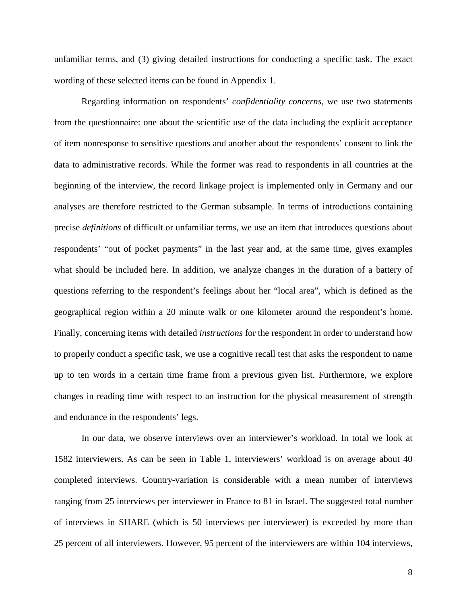unfamiliar terms, and (3) giving detailed instructions for conducting a specific task. The exact wording of these selected items can be found in Appendix 1.

Regarding information on respondents' *confidentiality concerns*, we use two statements from the questionnaire: one about the scientific use of the data including the explicit acceptance of item nonresponse to sensitive questions and another about the respondents' consent to link the data to administrative records. While the former was read to respondents in all countries at the beginning of the interview, the record linkage project is implemented only in Germany and our analyses are therefore restricted to the German subsample. In terms of introductions containing precise *definitions* of difficult or unfamiliar terms, we use an item that introduces questions about respondents' "out of pocket payments" in the last year and, at the same time, gives examples what should be included here. In addition, we analyze changes in the duration of a battery of questions referring to the respondent's feelings about her "local area", which is defined as the geographical region within a 20 minute walk or one kilometer around the respondent's home. Finally, concerning items with detailed *instructions* for the respondent in order to understand how to properly conduct a specific task, we use a cognitive recall test that asks the respondent to name up to ten words in a certain time frame from a previous given list. Furthermore, we explore changes in reading time with respect to an instruction for the physical measurement of strength and endurance in the respondents' legs.

In our data, we observe interviews over an interviewer's workload. In total we look at 1582 interviewers. As can be seen in [Table 1,](#page-9-0) interviewers' workload is on average about 40 completed interviews. Country-variation is considerable with a mean number of interviews ranging from 25 interviews per interviewer in France to 81 in Israel. The suggested total number of interviews in SHARE (which is 50 interviews per interviewer) is exceeded by more than 25 percent of all interviewers. However, 95 percent of the interviewers are within 104 interviews,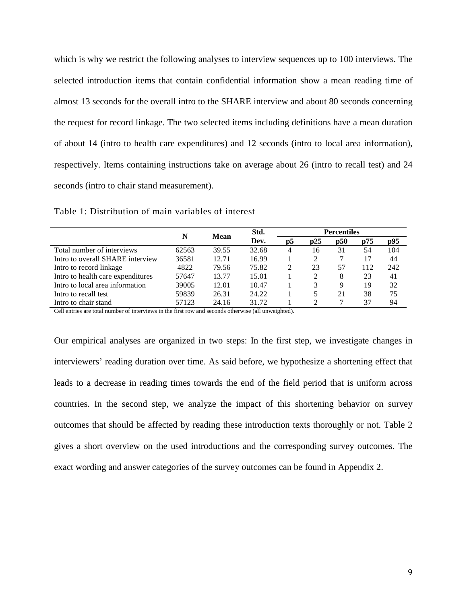which is why we restrict the following analyses to interview sequences up to 100 interviews. The selected introduction items that contain confidential information show a mean reading time of almost 13 seconds for the overall intro to the SHARE interview and about 80 seconds concerning the request for record linkage. The two selected items including definitions have a mean duration of about 14 (intro to health care expenditures) and 12 seconds (intro to local area information), respectively. Items containing instructions take on average about 26 (intro to recall test) and 24 seconds (intro to chair stand measurement).

|                                   |       | Std.<br>N<br>Mean |       |                |                             | <b>Percentiles</b> |     |     |  |
|-----------------------------------|-------|-------------------|-------|----------------|-----------------------------|--------------------|-----|-----|--|
|                                   |       |                   | Dev.  | $\mathbf{p}$ 5 | $\mathbf{D}25$              | $\mathbf{D}50$     | p75 | p95 |  |
| Total number of interviews        | 62563 | 39.55             | 32.68 | 4              | 16                          | 31                 | 54  | 104 |  |
| Intro to overall SHARE interview  | 36581 | 12.71             | 16.99 |                | $\mathcal{D}_{\mathcal{L}}$ |                    | 17  | 44  |  |
| Intro to record linkage           | 4822  | 79.56             | 75.82 | 2              | 23                          | 57                 | 112 | 242 |  |
| Intro to health care expenditures | 57647 | 13.77             | 15.01 |                | 2                           | 8                  | 23  | 41  |  |
| Intro to local area information   | 39005 | 12.01             | 10.47 |                | 3                           | 9                  | 19  | 32  |  |
| Intro to recall test              | 59839 | 26.31             | 24.22 |                |                             | 21                 | 38  | 75  |  |
| Intro to chair stand              | 57123 | 24.16             | 31.72 |                | ◠                           |                    | 37  | 94  |  |

<span id="page-9-0"></span>Table 1: Distribution of main variables of interest

Cell entries are total number of interviews in the first row and seconds otherwise (all unweighted).

Our empirical analyses are organized in two steps: In the first step, we investigate changes in interviewers' reading duration over time. As said before, we hypothesize a shortening effect that leads to a decrease in reading times towards the end of the field period that is uniform across countries. In the second step, we analyze the impact of this shortening behavior on survey outcomes that should be affected by reading these introduction texts thoroughly or not. Table 2 gives a short overview on the used introductions and the corresponding survey outcomes. The exact wording and answer categories of the survey outcomes can be found in Appendix 2.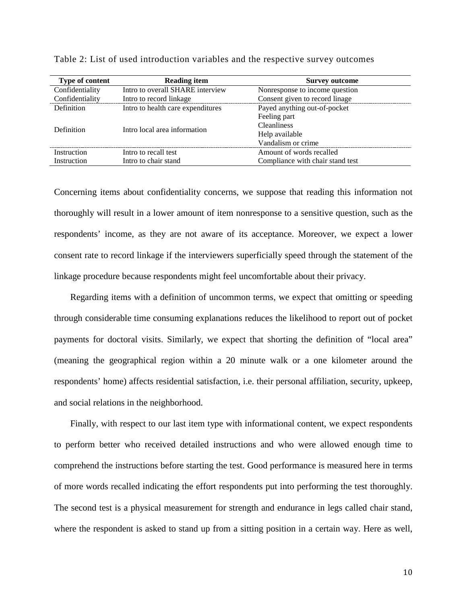| Type of content | <b>Reading item</b>               | <b>Survey outcome</b>            |
|-----------------|-----------------------------------|----------------------------------|
| Confidentiality | Intro to overall SHARE interview  | Nonresponse to income question   |
| Confidentiality | Intro to record linkage           | Consent given to record linage   |
| Definition      | Intro to health care expenditures | Payed anything out-of-pocket     |
|                 |                                   | Feeling part                     |
| Definition      | Intro local area information      | Cleanliness                      |
|                 |                                   | Help available                   |
|                 |                                   | Vandalism or crime               |
| Instruction     | Intro to recall test              | Amount of words recalled         |
| Instruction     | Intro to chair stand              | Compliance with chair stand test |

Table 2: List of used introduction variables and the respective survey outcomes

Concerning items about confidentiality concerns, we suppose that reading this information not thoroughly will result in a lower amount of item nonresponse to a sensitive question, such as the respondents' income, as they are not aware of its acceptance. Moreover, we expect a lower consent rate to record linkage if the interviewers superficially speed through the statement of the linkage procedure because respondents might feel uncomfortable about their privacy.

Regarding items with a definition of uncommon terms, we expect that omitting or speeding through considerable time consuming explanations reduces the likelihood to report out of pocket payments for doctoral visits. Similarly, we expect that shorting the definition of "local area" (meaning the geographical region within a 20 minute walk or a one kilometer around the respondents' home) affects residential satisfaction, i.e. their personal affiliation, security, upkeep, and social relations in the neighborhood.

Finally, with respect to our last item type with informational content, we expect respondents to perform better who received detailed instructions and who were allowed enough time to comprehend the instructions before starting the test. Good performance is measured here in terms of more words recalled indicating the effort respondents put into performing the test thoroughly. The second test is a physical measurement for strength and endurance in legs called chair stand, where the respondent is asked to stand up from a sitting position in a certain way. Here as well,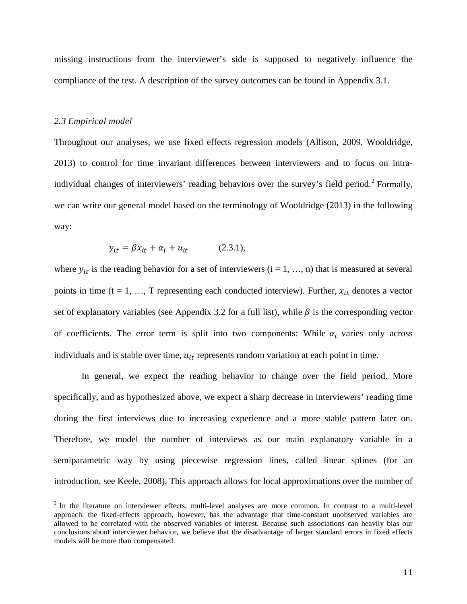missing instructions from the interviewer's side is supposed to negatively influence the compliance of the test. A description of the survey outcomes can be found in Appendix 3.1.

### *2.3 Empirical model*

Throughout our analyses, we use fixed effects regression models [\(Allison, 2009,](#page-27-11) [Wooldridge,](#page-29-9)  [2013\)](#page-29-9) to control for time invariant differences between interviewers and to focus on intra-individual changes of interviewers' reading behaviors over the survey's field period.<sup>[2](#page-11-0)</sup> Formally, we can write our general model based on the terminology of Wooldridge [\(2013\)](#page-29-9) in the following way:

$$
y_{it} = \beta x_{it} + \alpha_i + u_{it} \tag{2.3.1},
$$

where  $y_{it}$  is the reading behavior for a set of interviewers (i = 1, ..., n) that is measured at several points in time (t = 1, ..., T representing each conducted interview). Further,  $x_{it}$  denotes a vector set of explanatory variables (see Appendix 3.2 for a full list), while  $\beta$  is the corresponding vector of coefficients. The error term is split into two components: While  $\alpha_i$  varies only across individuals and is stable over time,  $u_{it}$  represents random variation at each point in time.

In general, we expect the reading behavior to change over the field period. More specifically, and as hypothesized above, we expect a sharp decrease in interviewers' reading time during the first interviews due to increasing experience and a more stable pattern later on. Therefore, we model the number of interviews as our main explanatory variable in a semiparametric way by using piecewise regression lines, called linear splines [\(for an](#page-28-18)  [introduction, see Keele, 2008\)](#page-28-18). This approach allows for local approximations over the number of

<span id="page-11-0"></span><sup>&</sup>lt;sup>2</sup> In the literature on interviewer effects, multi-level analyses are more common. In contrast to a multi-level approach, the fixed-effects approach, however, has the advantage that time-constant unobserved variables are allowed to be correlated with the observed variables of interest. Because such associations can heavily bias our conclusions about interviewer behavior, we believe that the disadvantage of larger standard errors in fixed effects models will be more than compensated.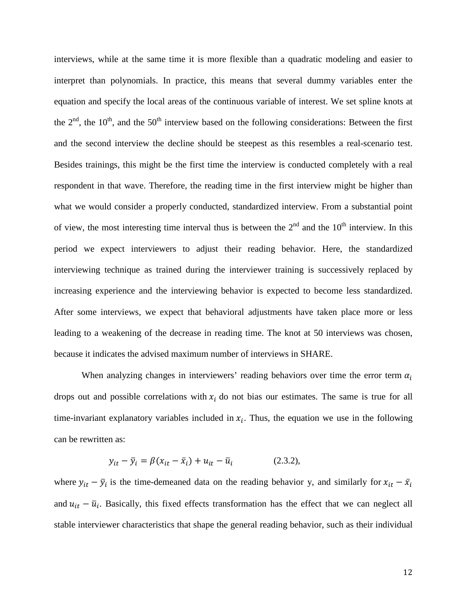interviews, while at the same time it is more flexible than a quadratic modeling and easier to interpret than polynomials. In practice, this means that several dummy variables enter the equation and specify the local areas of the continuous variable of interest. We set spline knots at the  $2<sup>nd</sup>$ , the 10<sup>th</sup>, and the 50<sup>th</sup> interview based on the following considerations: Between the first and the second interview the decline should be steepest as this resembles a real-scenario test. Besides trainings, this might be the first time the interview is conducted completely with a real respondent in that wave. Therefore, the reading time in the first interview might be higher than what we would consider a properly conducted, standardized interview. From a substantial point of view, the most interesting time interval thus is between the  $2<sup>nd</sup>$  and the  $10<sup>th</sup>$  interview. In this period we expect interviewers to adjust their reading behavior. Here, the standardized interviewing technique as trained during the interviewer training is successively replaced by increasing experience and the interviewing behavior is expected to become less standardized. After some interviews, we expect that behavioral adjustments have taken place more or less leading to a weakening of the decrease in reading time. The knot at 50 interviews was chosen, because it indicates the advised maximum number of interviews in SHARE.

When analyzing changes in interviewers' reading behaviors over time the error term  $\alpha_i$ drops out and possible correlations with  $x_i$  do not bias our estimates. The same is true for all time-invariant explanatory variables included in  $x_i$ . Thus, the equation we use in the following can be rewritten as:

$$
y_{it} - \bar{y}_i = \beta(x_{it} - \bar{x}_i) + u_{it} - \bar{u}_i
$$
 (2.3.2),

where  $y_{it} - \bar{y}_i$  is the time-demeaned data on the reading behavior y, and similarly for  $x_{it} - \bar{x}_i$ and  $u_{it} - \bar{u}_i$ . Basically, this fixed effects transformation has the effect that we can neglect all stable interviewer characteristics that shape the general reading behavior, such as their individual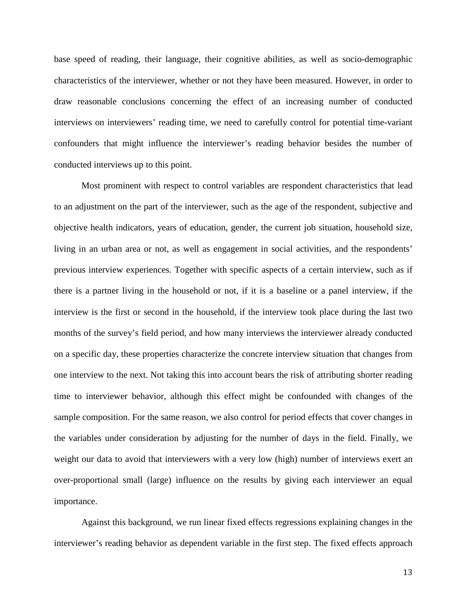base speed of reading, their language, their cognitive abilities, as well as socio-demographic characteristics of the interviewer, whether or not they have been measured. However, in order to draw reasonable conclusions concerning the effect of an increasing number of conducted interviews on interviewers' reading time, we need to carefully control for potential time-variant confounders that might influence the interviewer's reading behavior besides the number of conducted interviews up to this point.

Most prominent with respect to control variables are respondent characteristics that lead to an adjustment on the part of the interviewer, such as the age of the respondent, subjective and objective health indicators, years of education, gender, the current job situation, household size, living in an urban area or not, as well as engagement in social activities, and the respondents' previous interview experiences. Together with specific aspects of a certain interview, such as if there is a partner living in the household or not, if it is a baseline or a panel interview, if the interview is the first or second in the household, if the interview took place during the last two months of the survey's field period, and how many interviews the interviewer already conducted on a specific day, these properties characterize the concrete interview situation that changes from one interview to the next. Not taking this into account bears the risk of attributing shorter reading time to interviewer behavior, although this effect might be confounded with changes of the sample composition. For the same reason, we also control for period effects that cover changes in the variables under consideration by adjusting for the number of days in the field. Finally, we weight our data to avoid that interviewers with a very low (high) number of interviews exert an over-proportional small (large) influence on the results by giving each interviewer an equal importance.

Against this background, we run linear fixed effects regressions explaining changes in the interviewer's reading behavior as dependent variable in the first step. The fixed effects approach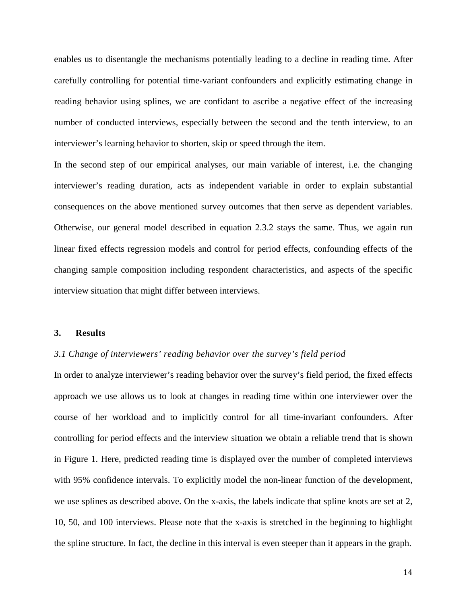enables us to disentangle the mechanisms potentially leading to a decline in reading time. After carefully controlling for potential time-variant confounders and explicitly estimating change in reading behavior using splines, we are confidant to ascribe a negative effect of the increasing number of conducted interviews, especially between the second and the tenth interview, to an interviewer's learning behavior to shorten, skip or speed through the item.

In the second step of our empirical analyses, our main variable of interest, i.e. the changing interviewer's reading duration, acts as independent variable in order to explain substantial consequences on the above mentioned survey outcomes that then serve as dependent variables. Otherwise, our general model described in equation 2.3.2 stays the same. Thus, we again run linear fixed effects regression models and control for period effects, confounding effects of the changing sample composition including respondent characteristics, and aspects of the specific interview situation that might differ between interviews.

### **3. Results**

### *3.1 Change of interviewers' reading behavior over the survey's field period*

In order to analyze interviewer's reading behavior over the survey's field period, the fixed effects approach we use allows us to look at changes in reading time within one interviewer over the course of her workload and to implicitly control for all time-invariant confounders. After controlling for period effects and the interview situation we obtain a reliable trend that is shown in Figure 1. Here, predicted reading time is displayed over the number of completed interviews with 95% confidence intervals. To explicitly model the non-linear function of the development, we use splines as described above. On the x-axis, the labels indicate that spline knots are set at 2, 10, 50, and 100 interviews. Please note that the x-axis is stretched in the beginning to highlight the spline structure. In fact, the decline in this interval is even steeper than it appears in the graph.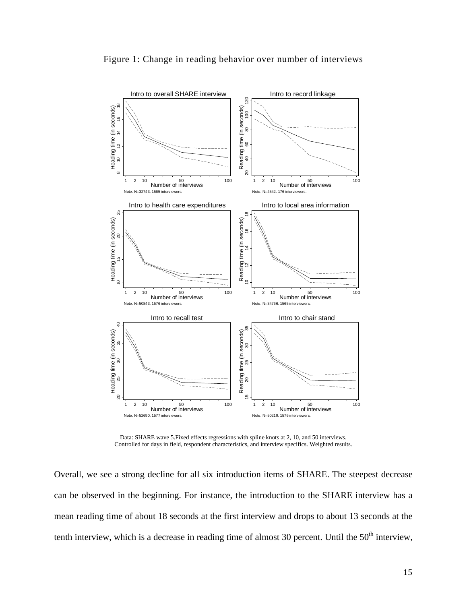

Figure 1: Change in reading behavior over number of interviews

Data: SHARE wave 5.Fixed effects regressions with spline knots at 2, 10, and 50 interviews. Controlled for days in field, respondent characteristics, and interview specifics. Weighted results.

Overall, we see a strong decline for all six introduction items of SHARE. The steepest decrease can be observed in the beginning. For instance, the introduction to the SHARE interview has a mean reading time of about 18 seconds at the first interview and drops to about 13 seconds at the tenth interview, which is a decrease in reading time of almost 30 percent. Until the 50<sup>th</sup> interview,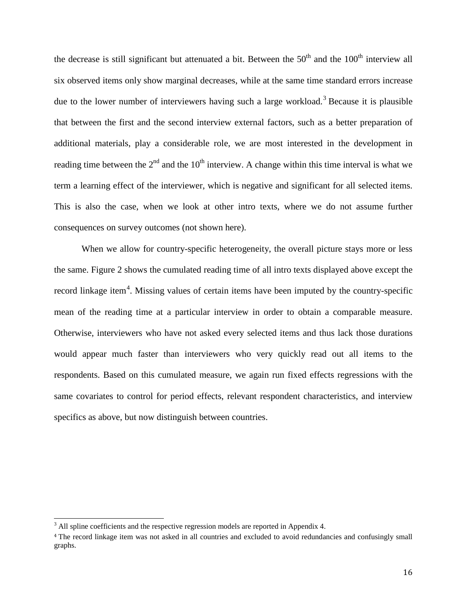the decrease is still significant but attenuated a bit. Between the  $50<sup>th</sup>$  and the  $100<sup>th</sup>$  interview all six observed items only show marginal decreases, while at the same time standard errors increase due to the lower number of interviewers having such a large workload.<sup>[3](#page-16-0)</sup> Because it is plausible that between the first and the second interview external factors, such as a better preparation of additional materials, play a considerable role, we are most interested in the development in reading time between the  $2<sup>nd</sup>$  and the 10<sup>th</sup> interview. A change within this time interval is what we term a learning effect of the interviewer, which is negative and significant for all selected items. This is also the case, when we look at other intro texts, where we do not assume further consequences on survey outcomes (not shown here).

When we allow for country-specific heterogeneity, the overall picture stays more or less the same. Figure 2 shows the cumulated reading time of all intro texts displayed above except the record linkage item<sup>[4](#page-16-1)</sup>. Missing values of certain items have been imputed by the country-specific mean of the reading time at a particular interview in order to obtain a comparable measure. Otherwise, interviewers who have not asked every selected items and thus lack those durations would appear much faster than interviewers who very quickly read out all items to the respondents. Based on this cumulated measure, we again run fixed effects regressions with the same covariates to control for period effects, relevant respondent characteristics, and interview specifics as above, but now distinguish between countries.

<span id="page-16-0"></span><sup>&</sup>lt;sup>3</sup> All spline coefficients and the respective regression models are reported in Appendix 4.

<span id="page-16-1"></span><sup>&</sup>lt;sup>4</sup> The record linkage item was not asked in all countries and excluded to avoid redundancies and confusingly small graphs.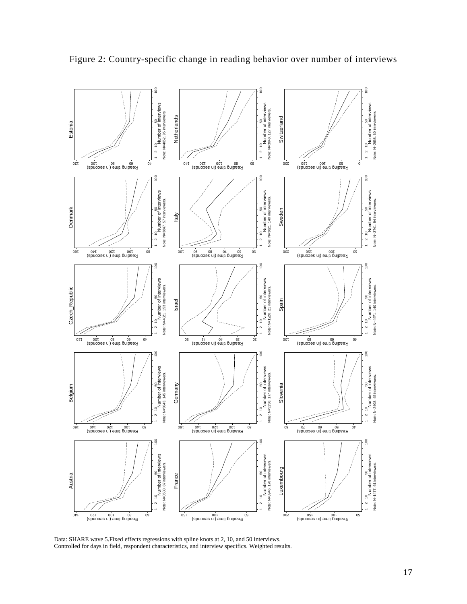

Figure 2: Country-specific change in reading behavior over number of interviews

Data: SHARE wave 5.Fixed effects regressions with spline knots at 2, 10, and 50 interviews. Controlled for days in field, respondent characteristics, and interview specifics. Weighted results.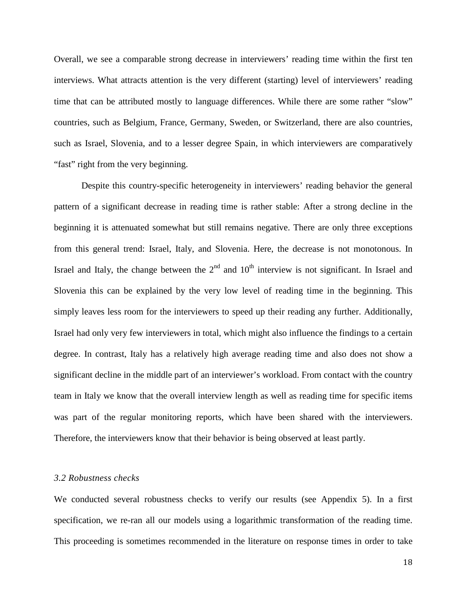Overall, we see a comparable strong decrease in interviewers' reading time within the first ten interviews. What attracts attention is the very different (starting) level of interviewers' reading time that can be attributed mostly to language differences. While there are some rather "slow" countries, such as Belgium, France, Germany, Sweden, or Switzerland, there are also countries, such as Israel, Slovenia, and to a lesser degree Spain, in which interviewers are comparatively "fast" right from the very beginning.

Despite this country-specific heterogeneity in interviewers' reading behavior the general pattern of a significant decrease in reading time is rather stable: After a strong decline in the beginning it is attenuated somewhat but still remains negative. There are only three exceptions from this general trend: Israel, Italy, and Slovenia. Here, the decrease is not monotonous. In Israel and Italy, the change between the  $2<sup>nd</sup>$  and  $10<sup>th</sup>$  interview is not significant. In Israel and Slovenia this can be explained by the very low level of reading time in the beginning. This simply leaves less room for the interviewers to speed up their reading any further. Additionally, Israel had only very few interviewers in total, which might also influence the findings to a certain degree. In contrast, Italy has a relatively high average reading time and also does not show a significant decline in the middle part of an interviewer's workload. From contact with the country team in Italy we know that the overall interview length as well as reading time for specific items was part of the regular monitoring reports, which have been shared with the interviewers. Therefore, the interviewers know that their behavior is being observed at least partly.

### *3.2 Robustness checks*

We conducted several robustness checks to verify our results (see Appendix 5). In a first specification, we re-ran all our models using a logarithmic transformation of the reading time. This proceeding is sometimes recommended in the literature on response times in order to take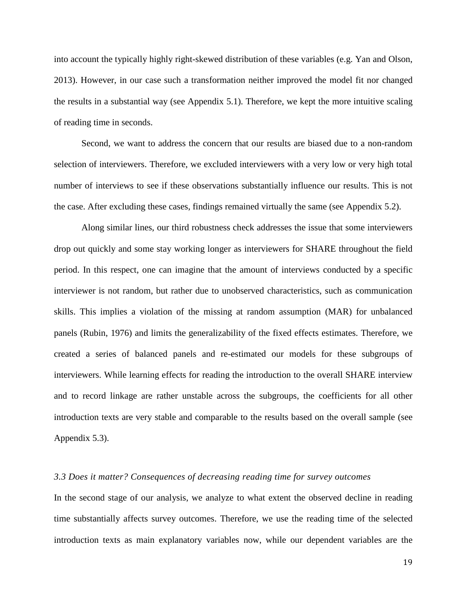into account the typically highly right-skewed distribution of these variables [\(e.g. Yan and Olson,](#page-29-10)  [2013\)](#page-29-10). However, in our case such a transformation neither improved the model fit nor changed the results in a substantial way (see Appendix 5.1). Therefore, we kept the more intuitive scaling of reading time in seconds.

Second, we want to address the concern that our results are biased due to a non-random selection of interviewers. Therefore, we excluded interviewers with a very low or very high total number of interviews to see if these observations substantially influence our results. This is not the case. After excluding these cases, findings remained virtually the same (see Appendix 5.2).

Along similar lines, our third robustness check addresses the issue that some interviewers drop out quickly and some stay working longer as interviewers for SHARE throughout the field period. In this respect, one can imagine that the amount of interviews conducted by a specific interviewer is not random, but rather due to unobserved characteristics, such as communication skills. This implies a violation of the missing at random assumption (MAR) for unbalanced panels [\(Rubin, 1976\)](#page-29-11) and limits the generalizability of the fixed effects estimates. Therefore, we created a series of balanced panels and re-estimated our models for these subgroups of interviewers. While learning effects for reading the introduction to the overall SHARE interview and to record linkage are rather unstable across the subgroups, the coefficients for all other introduction texts are very stable and comparable to the results based on the overall sample (see Appendix 5.3).

#### *3.3 Does it matter? Consequences of decreasing reading time for survey outcomes*

In the second stage of our analysis, we analyze to what extent the observed decline in reading time substantially affects survey outcomes. Therefore, we use the reading time of the selected introduction texts as main explanatory variables now, while our dependent variables are the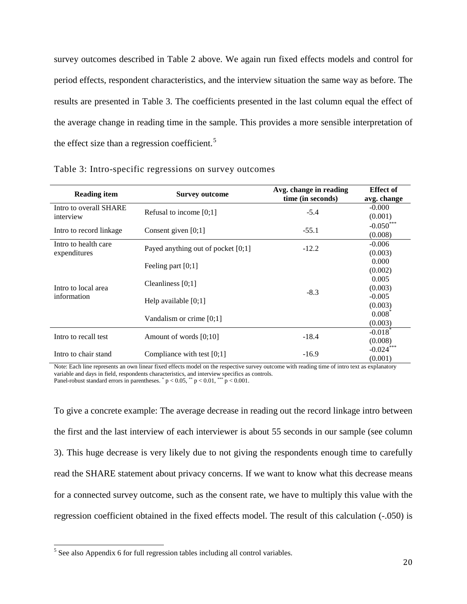survey outcomes described in Table 2 above. We again run fixed effects models and control for period effects, respondent characteristics, and the interview situation the same way as before. The results are presented in Table 3. The coefficients presented in the last column equal the effect of the average change in reading time in the sample. This provides a more sensible interpretation of the effect size than a regression coefficient.<sup>[5](#page-20-0)</sup>

| <b>Reading item</b>                  | <b>Survey outcome</b>                | Avg. change in reading<br>time (in seconds) | <b>Effect of</b><br>avg. change  |
|--------------------------------------|--------------------------------------|---------------------------------------------|----------------------------------|
| Intro to overall SHARE<br>interview  | Refusal to income $[0;1]$            | $-5.4$                                      | $-0.000$<br>(0.001)              |
| Intro to record linkage              | Consent given $[0;1]$                | $-55.1$                                     | $-0.050***$<br>(0.008)           |
| Intro to health care<br>expenditures | Payed anything out of pocket $[0;1]$ | $-12.2$                                     | $-0.006$<br>(0.003)              |
| Intro to local area<br>information   | Feeling part $[0;1]$                 |                                             | 0.000<br>(0.002)                 |
|                                      | Cleanliness $[0;1]$                  | $-8.3$                                      | 0.005<br>(0.003)                 |
|                                      | Help available $[0;1]$               |                                             | $-0.005$<br>(0.003)              |
|                                      | Vandalism or crime $[0;1]$           |                                             | $0.008^{\degree}$<br>(0.003)     |
| Intro to recall test                 | Amount of words $[0;10]$             | $-18.4$                                     | $-0.018$ <sup>*</sup><br>(0.008) |
| Intro to chair stand                 | Compliance with test $[0;1]$         | $-16.9$                                     | $-0.024***$<br>(0.001)           |

|  | Table 3: Intro-specific regressions on survey outcomes |  |  |
|--|--------------------------------------------------------|--|--|
|  |                                                        |  |  |
|  |                                                        |  |  |

Note: Each line represents an own linear fixed effects model on the respective survey outcome with reading time of intro text as explanatory variable and days in field, respondents characteristics, and interview specifics as controls.

Panel-robust standard errors in parentheses.  $p < 0.05$ ,  $p < 0.01$ ,  $p < 0.001$ .

To give a concrete example: The average decrease in reading out the record linkage intro between the first and the last interview of each interviewer is about 55 seconds in our sample (see column 3). This huge decrease is very likely due to not giving the respondents enough time to carefully read the SHARE statement about privacy concerns. If we want to know what this decrease means for a connected survey outcome, such as the consent rate, we have to multiply this value with the regression coefficient obtained in the fixed effects model. The result of this calculation (-.050) is

<span id="page-20-0"></span><sup>&</sup>lt;sup>5</sup> See also Appendix 6 for full regression tables including all control variables.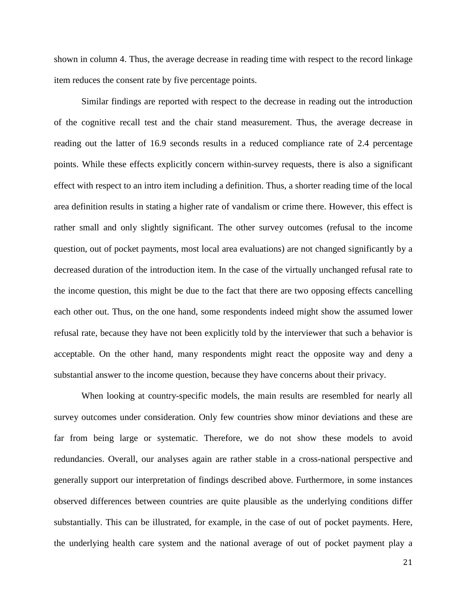shown in column 4. Thus, the average decrease in reading time with respect to the record linkage item reduces the consent rate by five percentage points.

Similar findings are reported with respect to the decrease in reading out the introduction of the cognitive recall test and the chair stand measurement. Thus, the average decrease in reading out the latter of 16.9 seconds results in a reduced compliance rate of 2.4 percentage points. While these effects explicitly concern within-survey requests, there is also a significant effect with respect to an intro item including a definition. Thus, a shorter reading time of the local area definition results in stating a higher rate of vandalism or crime there. However, this effect is rather small and only slightly significant. The other survey outcomes (refusal to the income question, out of pocket payments, most local area evaluations) are not changed significantly by a decreased duration of the introduction item. In the case of the virtually unchanged refusal rate to the income question, this might be due to the fact that there are two opposing effects cancelling each other out. Thus, on the one hand, some respondents indeed might show the assumed lower refusal rate, because they have not been explicitly told by the interviewer that such a behavior is acceptable. On the other hand, many respondents might react the opposite way and deny a substantial answer to the income question, because they have concerns about their privacy.

When looking at country-specific models, the main results are resembled for nearly all survey outcomes under consideration. Only few countries show minor deviations and these are far from being large or systematic. Therefore, we do not show these models to avoid redundancies. Overall, our analyses again are rather stable in a cross-national perspective and generally support our interpretation of findings described above. Furthermore, in some instances observed differences between countries are quite plausible as the underlying conditions differ substantially. This can be illustrated, for example, in the case of out of pocket payments. Here, the underlying health care system and the national average of out of pocket payment play a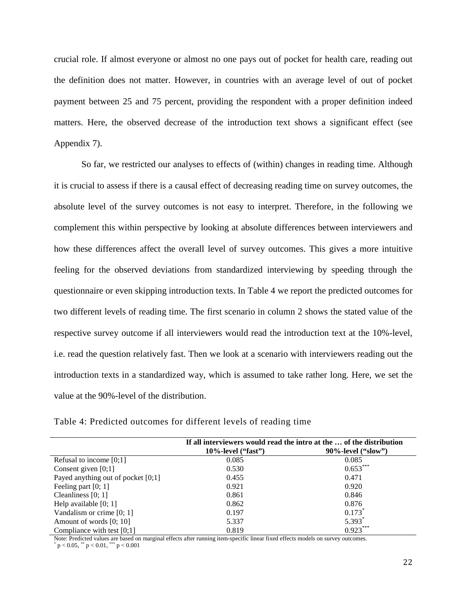crucial role. If almost everyone or almost no one pays out of pocket for health care, reading out the definition does not matter. However, in countries with an average level of out of pocket payment between 25 and 75 percent, providing the respondent with a proper definition indeed matters. Here, the observed decrease of the introduction text shows a significant effect (see Appendix 7).

So far, we restricted our analyses to effects of (within) changes in reading time. Although it is crucial to assess if there is a causal effect of decreasing reading time on survey outcomes, the absolute level of the survey outcomes is not easy to interpret. Therefore, in the following we complement this within perspective by looking at absolute differences between interviewers and how these differences affect the overall level of survey outcomes. This gives a more intuitive feeling for the observed deviations from standardized interviewing by speeding through the questionnaire or even skipping introduction texts. In [Table 4](#page-22-0) we report the predicted outcomes for two different levels of reading time. The first scenario in column 2 shows the stated value of the respective survey outcome if all interviewers would read the introduction text at the 10%-level, i.e. read the question relatively fast. Then we look at a scenario with interviewers reading out the introduction texts in a standardized way, which is assumed to take rather long. Here, we set the value at the 90%-level of the distribution.

|                                      | If all interviewers would read the intro at the  of the distribution |                        |  |  |  |
|--------------------------------------|----------------------------------------------------------------------|------------------------|--|--|--|
|                                      | $10\%$ -level ("fast")                                               | $90\%$ -level ("slow") |  |  |  |
| Refusal to income $[0;1]$            | 0.085                                                                | 0.085                  |  |  |  |
| Consent given $[0;1]$                | 0.530                                                                | $0.653***$             |  |  |  |
| Payed anything out of pocket $[0;1]$ | 0.455                                                                | 0.471                  |  |  |  |
| Feeling part $[0; 1]$                | 0.921                                                                | 0.920                  |  |  |  |
| Cleanliness $[0; 1]$                 | 0.861                                                                | 0.846                  |  |  |  |
| Help available $[0; 1]$              | 0.862                                                                | 0.876                  |  |  |  |
| Vandalism or crime $[0; 1]$          | 0.197                                                                | $0.173$ <sup>*</sup>   |  |  |  |
| Amount of words [0; 10]              | 5.337                                                                | $5.393*$               |  |  |  |
| Compliance with test $[0,1]$         | 0.819                                                                | $0.923***$             |  |  |  |

<span id="page-22-0"></span>Table 4: Predicted outcomes for different levels of reading time

Note: Predicted values are based on marginal effects after running item-specific linear fixed effects models on survey outcomes.<br>
\*  $p < 0.05$ , \*\*  $p < 0.01$ , \*\*\*  $p < 0.001$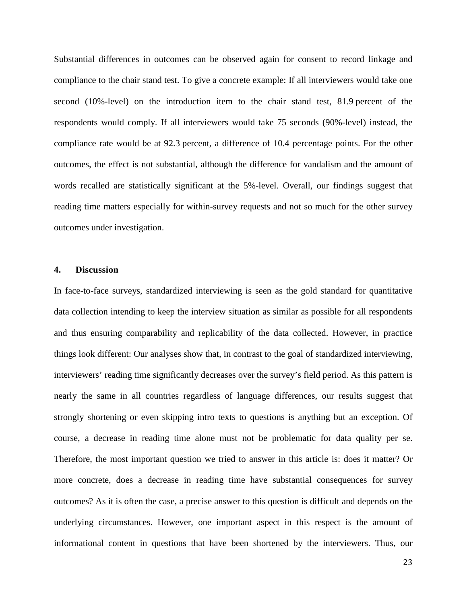Substantial differences in outcomes can be observed again for consent to record linkage and compliance to the chair stand test. To give a concrete example: If all interviewers would take one second (10%-level) on the introduction item to the chair stand test, 81.9 percent of the respondents would comply. If all interviewers would take 75 seconds (90%-level) instead, the compliance rate would be at 92.3 percent, a difference of 10.4 percentage points. For the other outcomes, the effect is not substantial, although the difference for vandalism and the amount of words recalled are statistically significant at the 5%-level. Overall, our findings suggest that reading time matters especially for within-survey requests and not so much for the other survey outcomes under investigation.

### **4. Discussion**

In face-to-face surveys, standardized interviewing is seen as the gold standard for quantitative data collection intending to keep the interview situation as similar as possible for all respondents and thus ensuring comparability and replicability of the data collected. However, in practice things look different: Our analyses show that, in contrast to the goal of standardized interviewing, interviewers' reading time significantly decreases over the survey's field period. As this pattern is nearly the same in all countries regardless of language differences, our results suggest that strongly shortening or even skipping intro texts to questions is anything but an exception. Of course, a decrease in reading time alone must not be problematic for data quality per se. Therefore, the most important question we tried to answer in this article is: does it matter? Or more concrete, does a decrease in reading time have substantial consequences for survey outcomes? As it is often the case, a precise answer to this question is difficult and depends on the underlying circumstances. However, one important aspect in this respect is the amount of informational content in questions that have been shortened by the interviewers. Thus, our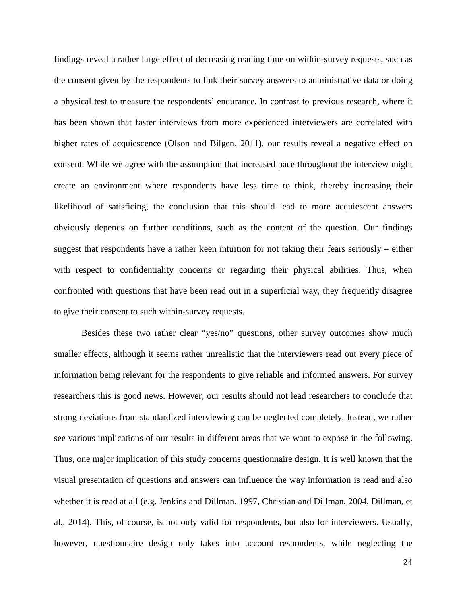findings reveal a rather large effect of decreasing reading time on within-survey requests, such as the consent given by the respondents to link their survey answers to administrative data or doing a physical test to measure the respondents' endurance. In contrast to previous research, where it has been shown that faster interviews from more experienced interviewers are correlated with higher rates of acquiescence [\(Olson and Bilgen, 2011\)](#page-29-5), our results reveal a negative effect on consent. While we agree with the assumption that increased pace throughout the interview might create an environment where respondents have less time to think, thereby increasing their likelihood of satisficing, the conclusion that this should lead to more acquiescent answers obviously depends on further conditions, such as the content of the question. Our findings suggest that respondents have a rather keen intuition for not taking their fears seriously – either with respect to confidentiality concerns or regarding their physical abilities. Thus, when confronted with questions that have been read out in a superficial way, they frequently disagree to give their consent to such within-survey requests.

Besides these two rather clear "yes/no" questions, other survey outcomes show much smaller effects, although it seems rather unrealistic that the interviewers read out every piece of information being relevant for the respondents to give reliable and informed answers. For survey researchers this is good news. However, our results should not lead researchers to conclude that strong deviations from standardized interviewing can be neglected completely. Instead, we rather see various implications of our results in different areas that we want to expose in the following. Thus, one major implication of this study concerns questionnaire design. It is well known that the visual presentation of questions and answers can influence the way information is read and also whether it is read at all (e.g. [Jenkins and Dillman, 1997,](#page-28-19) [Christian and Dillman, 2004,](#page-27-12) [Dillman, et](#page-28-20)  [al., 2014\)](#page-28-20). This, of course, is not only valid for respondents, but also for interviewers. Usually, however, questionnaire design only takes into account respondents, while neglecting the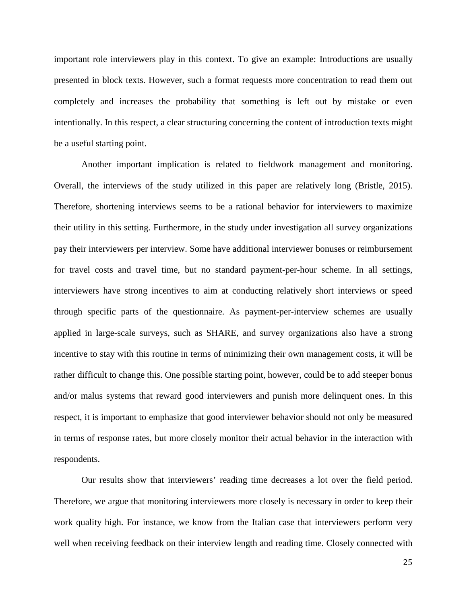important role interviewers play in this context. To give an example: Introductions are usually presented in block texts. However, such a format requests more concentration to read them out completely and increases the probability that something is left out by mistake or even intentionally. In this respect, a clear structuring concerning the content of introduction texts might be a useful starting point.

Another important implication is related to fieldwork management and monitoring. Overall, the interviews of the study utilized in this paper are relatively long [\(Bristle, 2015\)](#page-27-13). Therefore, shortening interviews seems to be a rational behavior for interviewers to maximize their utility in this setting. Furthermore, in the study under investigation all survey organizations pay their interviewers per interview. Some have additional interviewer bonuses or reimbursement for travel costs and travel time, but no standard payment-per-hour scheme. In all settings, interviewers have strong incentives to aim at conducting relatively short interviews or speed through specific parts of the questionnaire. As payment-per-interview schemes are usually applied in large-scale surveys, such as SHARE, and survey organizations also have a strong incentive to stay with this routine in terms of minimizing their own management costs, it will be rather difficult to change this. One possible starting point, however, could be to add steeper bonus and/or malus systems that reward good interviewers and punish more delinquent ones. In this respect, it is important to emphasize that good interviewer behavior should not only be measured in terms of response rates, but more closely monitor their actual behavior in the interaction with respondents.

Our results show that interviewers' reading time decreases a lot over the field period. Therefore, we argue that monitoring interviewers more closely is necessary in order to keep their work quality high. For instance, we know from the Italian case that interviewers perform very well when receiving feedback on their interview length and reading time. Closely connected with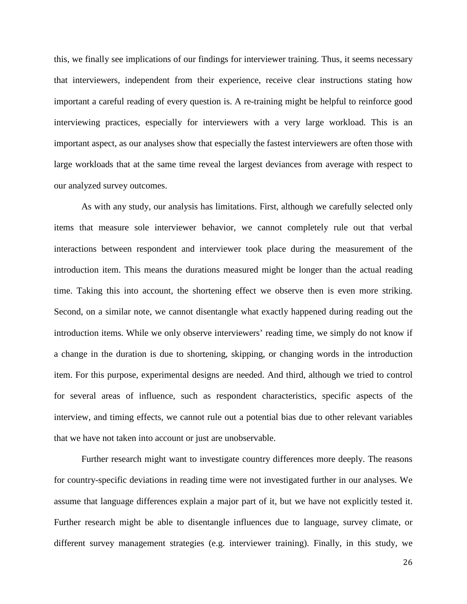this, we finally see implications of our findings for interviewer training. Thus, it seems necessary that interviewers, independent from their experience, receive clear instructions stating how important a careful reading of every question is. A re-training might be helpful to reinforce good interviewing practices, especially for interviewers with a very large workload. This is an important aspect, as our analyses show that especially the fastest interviewers are often those with large workloads that at the same time reveal the largest deviances from average with respect to our analyzed survey outcomes.

As with any study, our analysis has limitations. First, although we carefully selected only items that measure sole interviewer behavior, we cannot completely rule out that verbal interactions between respondent and interviewer took place during the measurement of the introduction item. This means the durations measured might be longer than the actual reading time. Taking this into account, the shortening effect we observe then is even more striking. Second, on a similar note, we cannot disentangle what exactly happened during reading out the introduction items. While we only observe interviewers' reading time, we simply do not know if a change in the duration is due to shortening, skipping, or changing words in the introduction item. For this purpose, experimental designs are needed. And third, although we tried to control for several areas of influence, such as respondent characteristics, specific aspects of the interview, and timing effects, we cannot rule out a potential bias due to other relevant variables that we have not taken into account or just are unobservable.

Further research might want to investigate country differences more deeply. The reasons for country-specific deviations in reading time were not investigated further in our analyses. We assume that language differences explain a major part of it, but we have not explicitly tested it. Further research might be able to disentangle influences due to language, survey climate, or different survey management strategies (e.g. interviewer training). Finally, in this study, we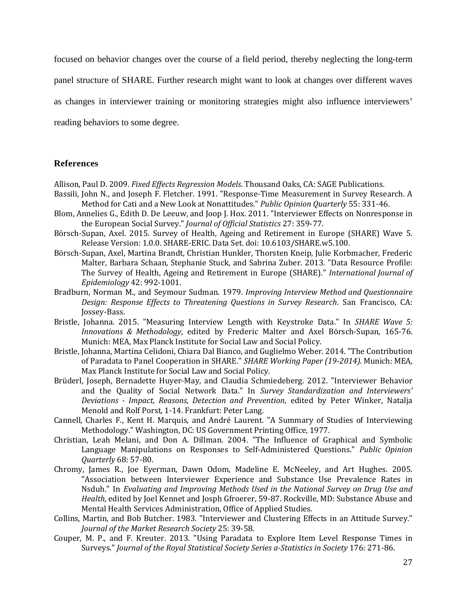focused on behavior changes over the course of a field period, thereby neglecting the long-term

panel structure of SHARE. Further research might want to look at changes over different waves

as changes in interviewer training or monitoring strategies might also influence interviewers'

reading behaviors to some degree.

### **References**

<span id="page-27-11"></span>Allison, Paul D. 2009. *Fixed Effects Regression Models*. Thousand Oaks, CA: SAGE Publications.

- <span id="page-27-10"></span>Bassili, John N., and Joseph F. Fletcher. 1991. "Response-Time Measurement in Survey Research. A Method for Cati and a New Look at Nonattitudes." *Public Opinion Quarterly* 55: 331-46.
- <span id="page-27-1"></span>Blom, Annelies G., Edith D. De Leeuw, and Joop J. Hox. 2011. "Interviewer Effects on Nonresponse in the European Social Survey." *Journal of Official Statistics* 27: 359-77.
- <span id="page-27-8"></span>Börsch-Supan, Axel. 2015. Survey of Health, Ageing and Retirement in Europe (SHARE) Wave 5. Release Version: 1.0.0. SHARE-ERIC. Data Set. doi: 10.6103/SHARE.w5.100.
- <span id="page-27-7"></span>Börsch-Supan, Axel, Martina Brandt, Christian Hunkler, Thorsten Kneip, Julie Korbmacher, Frederic Malter, Barbara Schaan, Stephanie Stuck, and Sabrina Zuber. 2013. "Data Resource Profile: The Survey of Health, Ageing and Retirement in Europe (SHARE)." *International Journal of Epidemiology* 42: 992-1001.
- <span id="page-27-4"></span>Bradburn, Norman M., and Seymour Sudman. 1979. *Improving Interview Method and Questionnaire Design: Response Effects to Threatening Questions in Survey Research*. San Francisco, CA: Jossey-Bass.
- <span id="page-27-13"></span>Bristle, Johanna. 2015. "Measuring Interview Length with Keystroke Data." In *SHARE Wave 5: Innovations & Methodology*, edited by Frederic Malter and Axel Börsch-Supan, 165-76. Munich: MEA, Max Planck Institute for Social Law and Social Policy.
- <span id="page-27-2"></span>Bristle, Johanna, Martina Celidoni, Chiara Dal Bianco, and Guglielmo Weber. 2014. "The Contribution of Paradata to Panel Cooperation in SHARE." *SHARE Working Paper (19-2014)*. Munich: MEA, Max Planck Institute for Social Law and Social Policy.
- <span id="page-27-6"></span>Brüderl, Joseph, Bernadette Huyer-May, and Claudia Schmiedeberg. 2012. "Interviewer Behavior and the Quality of Social Network Data." In *Survey Standardization and Interviewers' Deviations - Impact, Reasons, Detection and Prevention*, edited by Peter Winker, Natalja Menold and Rolf Porst, 1-14. Frankfurt: Peter Lang.
- <span id="page-27-5"></span>Cannell, Charles F., Kent H. Marquis, and André Laurent. "A Summary of Studies of Interviewing Methodology." Washington, DC: US Government Printing Office, 1977.
- <span id="page-27-12"></span>Christian, Leah Melani, and Don A. Dillman. 2004. "The Influence of Graphical and Symbolic Language Manipulations on Responses to Self-Administered Questions." *Public Opinion Quarterly* 68: 57-80.
- <span id="page-27-3"></span>Chromy, James R., Joe Eyerman, Dawn Odom, Madeline E. McNeeley, and Art Hughes. 2005. "Association between Interviewer Experience and Substance Use Prevalence Rates in Nsduh." In *Evaluating and Improving Methods Used in the National Survey on Drug Use and Health*, edited by Joel Kennet and Josph Gfroerer, 59-87. Rockville, MD: Substance Abuse and Mental Health Services Administration, Office of Applied Studies.
- <span id="page-27-0"></span>Collins, Martin, and Bob Butcher. 1983. "Interviewer and Clustering Effects in an Attitude Survey." *Journal of the Market Research Society* 25: 39-58.
- <span id="page-27-9"></span>Couper, M. P., and F. Kreuter. 2013. "Using Paradata to Explore Item Level Response Times in Surveys." *Journal of the Royal Statistical Society Series a-Statistics in Society* 176: 271-86.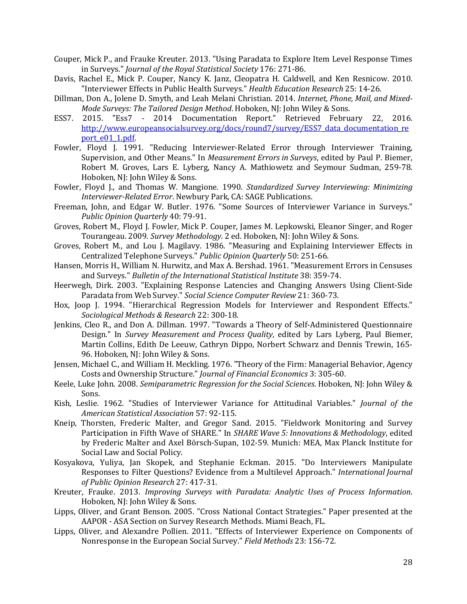- <span id="page-28-6"></span>Couper, Mick P., and Frauke Kreuter. 2013. "Using Paradata to Explore Item Level Response Times in Surveys." *Journal of the Royal Statistical Society* 176: 271-86.
- <span id="page-28-4"></span>Davis, Rachel E., Mick P. Couper, Nancy K. Janz, Cleopatra H. Caldwell, and Ken Resnicow. 2010. "Interviewer Effects in Public Health Surveys." *Health Education Research* 25: 14-26.
- <span id="page-28-20"></span>Dillman, Don A., Jolene D. Smyth, and Leah Melani Christian. 2014. *Internet, Phone, Mail, and Mixed-Mode Surveys: The Tailored Design Method*. Hoboken, NJ: John Wiley & Sons.
- <span id="page-28-15"></span>ESS7. 2015. "Ess7 - 2014 Documentation Report." Retrieved February 22, 2016. [http://www.europeansocialsurvey.org/docs/round7/survey/ESS7\\_data\\_documentation\\_re](http://www.europeansocialsurvey.org/docs/round7/survey/ESS7_data_documentation_report_e01_1.pdf) [port\\_e01\\_1.pdf.](http://www.europeansocialsurvey.org/docs/round7/survey/ESS7_data_documentation_report_e01_1.pdf)
- <span id="page-28-11"></span>Fowler, Floyd J. 1991. "Reducing Interviewer-Related Error through Interviewer Training, Supervision, and Other Means." In *Measurement Errors in Surveys*, edited by Paul P. Biemer, Robert M. Groves, Lars E. Lyberg, Nancy A. Mathiowetz and Seymour Sudman, 259-78. Hoboken, NJ: John Wiley & Sons.
- <span id="page-28-10"></span>Fowler, Floyd J., and Thomas W. Mangione. 1990. *Standardized Survey Interviewing: Minimizing Interviewer-Related Error*. Newbury Park, CA: SAGE Publications.
- <span id="page-28-3"></span>Freeman, John, and Edgar W. Butler. 1976. "Some Sources of Interviewer Variance in Surveys." *Public Opinion Quarterly* 40: 79-91.
- <span id="page-28-0"></span>Groves, Robert M., Floyd J. Fowler, Mick P. Couper, James M. Lepkowski, Eleanor Singer, and Roger Tourangeau. 2009. *Survey Methodology*. 2 ed. Hoboken, NJ: John Wiley & Sons.
- <span id="page-28-7"></span>Groves, Robert M., and Lou J. Magilavy. 1986. "Measuring and Explaining Interviewer Effects in Centralized Telephone Surveys." *Public Opinion Quarterly* 50: 251-66.
- <span id="page-28-1"></span>Hansen, Morris H., William N. Hurwitz, and Max A. Bershad. 1961. "Measurement Errors in Censuses and Surveys." *Bulletin of the International Statistical Institute* 38: 359-74.
- <span id="page-28-17"></span>Heerwegh, Dirk. 2003. "Explaining Response Latencies and Changing Answers Using Client-Side Paradata from Web Survey." *Social Science Computer Review* 21: 360-73.
- <span id="page-28-9"></span>Hox, Joop J. 1994. "Hierarchical Regression Models for Interviewer and Respondent Effects." *Sociological Methods & Research* 22: 300-18.
- <span id="page-28-19"></span>Jenkins, Cleo R., and Don A. Dillman. 1997. "Towards a Theory of Self-Administered Questionnaire Design." In *Survey Measurement and Process Quality*, edited by Lars Lyberg, Paul Biemer, Martin Collins, Edith De Leeuw, Cathryn Dippo, Norbert Schwarz and Dennis Trewin, 165- 96. Hoboken, NJ: John Wiley & Sons.
- <span id="page-28-12"></span>Jensen, Michael C., and William H. Meckling. 1976. "Theory of the Firm: Managerial Behavior, Agency Costs and Ownership Structure." *Journal of Financial Economics* 3: 305-60.
- <span id="page-28-18"></span>Keele, Luke John. 2008. *Semiparametric Regression for the Social Sciences*. Hoboken, NJ: John Wiley & Sons.
- <span id="page-28-2"></span>Kish, Leslie. 1962. "Studies of Interviewer Variance for Attitudinal Variables." *Journal of the American Statistical Association* 57: 92-115.
- <span id="page-28-14"></span>Kneip, Thorsten, Frederic Malter, and Gregor Sand. 2015. "Fieldwork Monitoring and Survey Participation in Fifth Wave of SHARE." In *SHARE Wave 5: Innovations & Methodology*, edited by Frederic Malter and Axel Börsch-Supan, 102-59. Munich: MEA, Max Planck Institute for Social Law and Social Policy.
- <span id="page-28-13"></span>Kosyakova, Yuliya, Jan Skopek, and Stephanie Eckman. 2015. "Do Interviewers Manipulate Responses to Filter Questions? Evidence from a Multilevel Approach." *International Journal of Public Opinion Research* 27: 417-31.
- <span id="page-28-16"></span>Kreuter, Frauke. 2013. *Improving Surveys with Paradata: Analytic Uses of Process Information*. Hoboken, NJ: John Wiley & Sons.
- <span id="page-28-5"></span>Lipps, Oliver, and Grant Benson. 2005. "Cross National Contact Strategies." Paper presented at the AAPOR - ASA Section on Survey Research Methods. Miami Beach, FL.
- <span id="page-28-8"></span>Lipps, Oliver, and Alexandre Pollien. 2011. "Effects of Interviewer Experience on Components of Nonresponse in the European Social Survey." *Field Methods* 23: 156-72.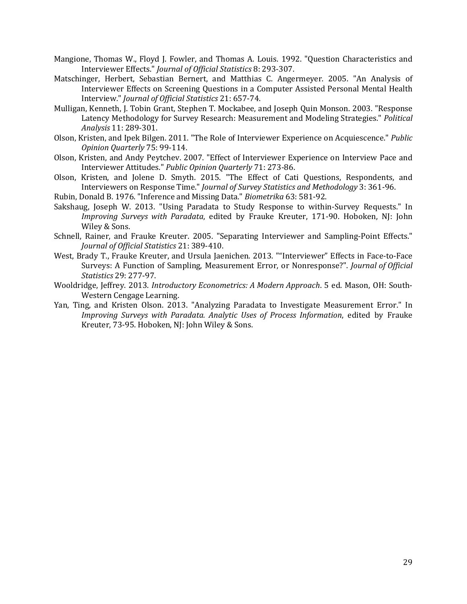- <span id="page-29-0"></span>Mangione, Thomas W., Floyd J. Fowler, and Thomas A. Louis. 1992. "Question Characteristics and Interviewer Effects." *Journal of Official Statistics* 8: 293-307.
- <span id="page-29-6"></span>Matschinger, Herbert, Sebastian Bernert, and Matthias C. Angermeyer. 2005. "An Analysis of Interviewer Effects on Screening Questions in a Computer Assisted Personal Mental Health Interview." *Journal of Official Statistics* 21: 657-74.
- <span id="page-29-8"></span>Mulligan, Kenneth, J. Tobin Grant, Stephen T. Mockabee, and Joseph Quin Monson. 2003. "Response Latency Methodology for Survey Research: Measurement and Modeling Strategies." *Political Analysis* 11: 289-301.
- <span id="page-29-5"></span>Olson, Kristen, and Ipek Bilgen. 2011. "The Role of Interviewer Experience on Acquiescence." *Public Opinion Quarterly* 75: 99-114.
- <span id="page-29-4"></span>Olson, Kristen, and Andy Peytchev. 2007. "Effect of Interviewer Experience on Interview Pace and Interviewer Attitudes." *Public Opinion Quarterly* 71: 273-86.
- <span id="page-29-3"></span>Olson, Kristen, and Jolene D. Smyth. 2015. "The Effect of Cati Questions, Respondents, and Interviewers on Response Time." *Journal of Survey Statistics and Methodology* 3: 361-96.
- <span id="page-29-11"></span>Rubin, Donald B. 1976. "Inference and Missing Data." *Biometrika* 63: 581-92.
- <span id="page-29-7"></span>Sakshaug, Joseph W. 2013. "Using Paradata to Study Response to within-Survey Requests." In *Improving Surveys with Paradata*, edited by Frauke Kreuter, 171-90. Hoboken, NJ: John Wiley & Sons.
- <span id="page-29-2"></span>Schnell, Rainer, and Frauke Kreuter. 2005. "Separating Interviewer and Sampling-Point Effects." *Journal of Official Statistics* 21: 389-410.
- <span id="page-29-1"></span>West, Brady T., Frauke Kreuter, and Ursula Jaenichen. 2013. ""Interviewer" Effects in Face-to-Face Surveys: A Function of Sampling, Measurement Error, or Nonresponse?". *Journal of Official Statistics* 29: 277-97.
- <span id="page-29-9"></span>Wooldridge, Jeffrey. 2013. *Introductory Econometrics: A Modern Approach*. 5 ed. Mason, OH: South-Western Cengage Learning.
- <span id="page-29-10"></span>Yan, Ting, and Kristen Olson. 2013. "Analyzing Paradata to Investigate Measurement Error." In *Improving Surveys with Paradata. Analytic Uses of Process Information*, edited by Frauke Kreuter, 73-95. Hoboken, NJ: John Wiley & Sons.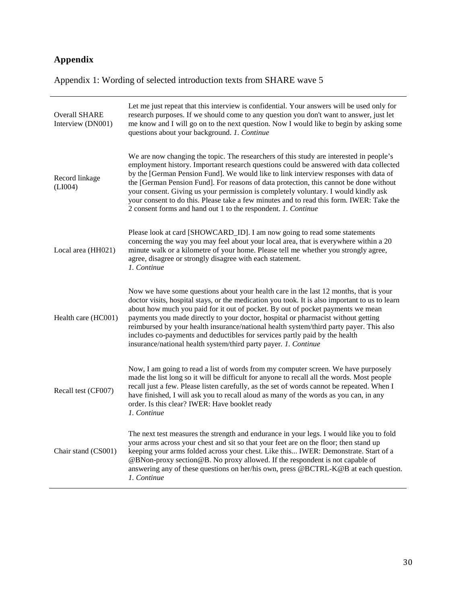# **Appendix**

Appendix 1: Wording of selected introduction texts from SHARE wave 5

| <b>Overall SHARE</b><br>Interview (DN001) | Let me just repeat that this interview is confidential. Your answers will be used only for<br>research purposes. If we should come to any question you don't want to answer, just let<br>me know and I will go on to the next question. Now I would like to begin by asking some<br>questions about your background. 1. Continue                                                                                                                                                                                                                                                                                        |
|-------------------------------------------|-------------------------------------------------------------------------------------------------------------------------------------------------------------------------------------------------------------------------------------------------------------------------------------------------------------------------------------------------------------------------------------------------------------------------------------------------------------------------------------------------------------------------------------------------------------------------------------------------------------------------|
| Record linkage<br>(LIO04)                 | We are now changing the topic. The researchers of this study are interested in people's<br>employment history. Important research questions could be answered with data collected<br>by the [German Pension Fund]. We would like to link interview responses with data of<br>the [German Pension Fund]. For reasons of data protection, this cannot be done without<br>your consent. Giving us your permission is completely voluntary. I would kindly ask<br>your consent to do this. Please take a few minutes and to read this form. IWER: Take the<br>2 consent forms and hand out 1 to the respondent. 1. Continue |
| Local area (HH021)                        | Please look at card [SHOWCARD_ID]. I am now going to read some statements<br>concerning the way you may feel about your local area, that is everywhere within a 20<br>minute walk or a kilometre of your home. Please tell me whether you strongly agree,<br>agree, disagree or strongly disagree with each statement.<br>1. Continue                                                                                                                                                                                                                                                                                   |
| Health care (HC001)                       | Now we have some questions about your health care in the last 12 months, that is your<br>doctor visits, hospital stays, or the medication you took. It is also important to us to learn<br>about how much you paid for it out of pocket. By out of pocket payments we mean<br>payments you made directly to your doctor, hospital or pharmacist without getting<br>reimbursed by your health insurance/national health system/third party payer. This also<br>includes co-payments and deductibles for services partly paid by the health<br>insurance/national health system/third party payer. 1. Continue            |
| Recall test (CF007)                       | Now, I am going to read a list of words from my computer screen. We have purposely<br>made the list long so it will be difficult for anyone to recall all the words. Most people<br>recall just a few. Please listen carefully, as the set of words cannot be repeated. When I<br>have finished, I will ask you to recall aloud as many of the words as you can, in any<br>order. Is this clear? IWER: Have booklet ready<br>1. Continue                                                                                                                                                                                |
| Chair stand (CS001)                       | The next test measures the strength and endurance in your legs. I would like you to fold<br>your arms across your chest and sit so that your feet are on the floor; then stand up<br>keeping your arms folded across your chest. Like this IWER: Demonstrate. Start of a<br>@BNon-proxy section@B. No proxy allowed. If the respondent is not capable of<br>answering any of these questions on her/his own, press @BCTRL-K@B at each question.<br>1. Continue                                                                                                                                                          |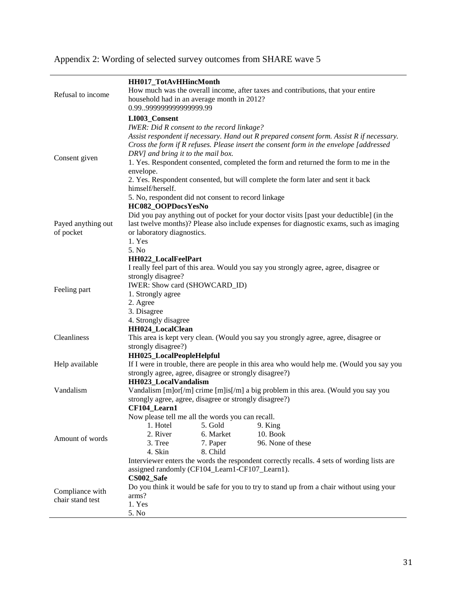# Appendix 2: Wording of selected survey outcomes from SHARE wave 5

| Refusal to income                   | HH017_TotAvHHincMonth<br>How much was the overall income, after taxes and contributions, that your entire<br>household had in an average month in 2012?<br>0.9999999999999999.99                                                                                                                                                                                                                                                                                                                                                                          |
|-------------------------------------|-----------------------------------------------------------------------------------------------------------------------------------------------------------------------------------------------------------------------------------------------------------------------------------------------------------------------------------------------------------------------------------------------------------------------------------------------------------------------------------------------------------------------------------------------------------|
| Consent given                       | LI003_Consent<br>IWER: Did R consent to the record linkage?<br>Assist respondent if necessary. Hand out R prepared consent form. Assist R if necessary.<br>Cross the form if R refuses. Please insert the consent form in the envelope [addressed<br>DRV] and bring it to the mail box.<br>1. Yes. Respondent consented, completed the form and returned the form to me in the<br>envelope.<br>2. Yes. Respondent consented, but will complete the form later and sent it back<br>himself/herself.<br>5. No, respondent did not consent to record linkage |
| Payed anything out<br>of pocket     | HC082_OOPDocsYesNo<br>Did you pay anything out of pocket for your doctor visits [past your deductible] (in the<br>last twelve months)? Please also include expenses for diagnostic exams, such as imaging<br>or laboratory diagnostics.<br>1. Yes<br>5. No                                                                                                                                                                                                                                                                                                |
| Feeling part                        | HH022_LocalFeelPart<br>I really feel part of this area. Would you say you strongly agree, agree, disagree or<br>strongly disagree?<br>IWER: Show card (SHOWCARD_ID)<br>1. Strongly agree<br>2. Agree<br>3. Disagree                                                                                                                                                                                                                                                                                                                                       |
| Cleanliness                         | 4. Strongly disagree<br><b>HH024 LocalClean</b><br>This area is kept very clean. (Would you say you strongly agree, agree, disagree or<br>strongly disagree?)                                                                                                                                                                                                                                                                                                                                                                                             |
| Help available                      | HH025_LocalPeopleHelpful<br>If I were in trouble, there are people in this area who would help me. (Would you say you<br>strongly agree, agree, disagree or strongly disagree?)                                                                                                                                                                                                                                                                                                                                                                           |
| Vandalism                           | HH023 LocalVandalism<br>Vandalism [m]or[/m] crime [m]is[/m] a big problem in this area. (Would you say you<br>strongly agree, agree, disagree or strongly disagree?)                                                                                                                                                                                                                                                                                                                                                                                      |
| Amount of words                     | CF104 Learn1<br>Now please tell me all the words you can recall.<br>1. Hotel<br>5. Gold<br>9. King<br>2. River<br><b>10. Book</b><br>6. Market<br>3. Tree<br>96. None of these<br>7. Paper<br>4. Skin<br>8. Child<br>Interviewer enters the words the respondent correctly recalls. 4 sets of wording lists are<br>assigned randomly (CF104_Learn1-CF107_Learn1).                                                                                                                                                                                         |
| Compliance with<br>chair stand test | CS002_Safe<br>Do you think it would be safe for you to try to stand up from a chair without using your<br>arms?<br>1. Yes<br>5. No                                                                                                                                                                                                                                                                                                                                                                                                                        |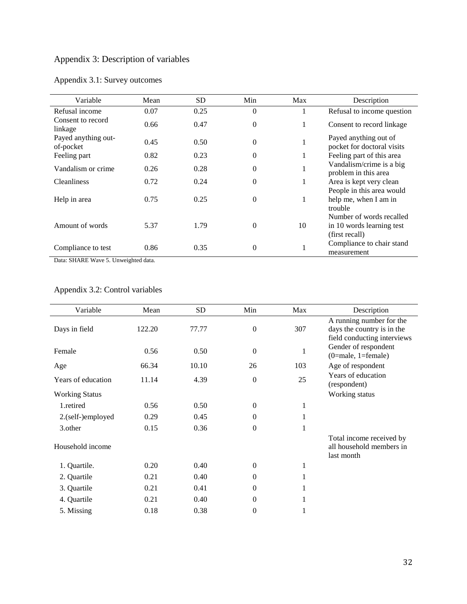# Appendix 3: Description of variables

| Variable                         | Mean | <b>SD</b> | Min      | Max | Description                                         |
|----------------------------------|------|-----------|----------|-----|-----------------------------------------------------|
| Refusal income                   | 0.07 | 0.25      | $\Omega$ |     | Refusal to income question                          |
| Consent to record<br>linkage     | 0.66 | 0.47      | $\Omega$ | 1   | Consent to record linkage.                          |
| Payed anything out-<br>of-pocket | 0.45 | 0.50      | $\theta$ | 1   | Payed anything out of<br>pocket for doctoral visits |
| Feeling part                     | 0.82 | 0.23      | $\Omega$ | 1   | Feeling part of this area                           |
| Vandalism or crime               | 0.26 | 0.28      | $\Omega$ |     | Vandalism/crime is a big<br>problem in this area    |
| <b>Cleanliness</b>               | 0.72 | 0.24      | $\Omega$ | 1   | Area is kept very clean                             |
|                                  |      |           |          |     | People in this area would                           |
| Help in area                     | 0.75 | 0.25      | $\Omega$ | 1   | help me, when I am in<br>trouble                    |
|                                  |      |           |          |     | Number of words recalled                            |
| Amount of words                  | 5.37 | 1.79      | $\theta$ | 10  | in 10 words learning test                           |
|                                  |      |           |          |     | (first recall)                                      |
| Compliance to test               | 0.86 | 0.35      | $\Omega$ | 1   | Compliance to chair stand                           |
|                                  |      |           |          |     | measurement                                         |

# Appendix 3.1: Survey outcomes

Data: SHARE Wave 5. Unweighted data.

# Appendix 3.2: Control variables

| Variable              | Mean   | <b>SD</b> | Min              | Max          | Description                                                                           |
|-----------------------|--------|-----------|------------------|--------------|---------------------------------------------------------------------------------------|
| Days in field         | 122.20 | 77.77     | $\boldsymbol{0}$ | 307          | A running number for the<br>days the country is in the<br>field conducting interviews |
| Female                | 0.56   | 0.50      | $\overline{0}$   | 1            | Gender of respondent<br>$(0 = male, 1 = female)$                                      |
| Age                   | 66.34  | 10.10     | 26               | 103          | Age of respondent                                                                     |
| Years of education    | 11.14  | 4.39      | $\overline{0}$   | 25           | Years of education<br>(respondent)                                                    |
| <b>Working Status</b> |        |           |                  |              | Working status                                                                        |
| 1.retired             | 0.56   | 0.50      | $\boldsymbol{0}$ | $\mathbf{1}$ |                                                                                       |
| 2.(self-)employed     | 0.29   | 0.45      | $\overline{0}$   | 1            |                                                                                       |
| 3.other               | 0.15   | 0.36      | $\theta$         | 1            |                                                                                       |
| Household income      |        |           |                  |              | Total income received by<br>all household members in<br>last month                    |
| 1. Quartile.          | 0.20   | 0.40      | $\boldsymbol{0}$ | 1            |                                                                                       |
| 2. Quartile           | 0.21   | 0.40      | $\Omega$         | 1            |                                                                                       |
| 3. Quartile           | 0.21   | 0.41      | $\Omega$         | 1            |                                                                                       |
| 4. Quartile           | 0.21   | 0.40      | $\Omega$         |              |                                                                                       |
| 5. Missing            | 0.18   | 0.38      | $\theta$         |              |                                                                                       |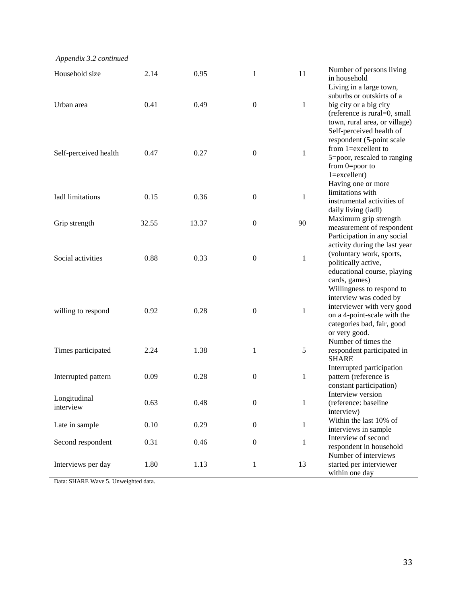*Appendix 3.2 continued*

| Household size            | 2.14  | 0.95  | 1                | 11           | Number of persons living<br>in household                  |
|---------------------------|-------|-------|------------------|--------------|-----------------------------------------------------------|
|                           |       |       |                  |              | Living in a large town,                                   |
| Urban area                | 0.41  | 0.49  | $\boldsymbol{0}$ | $\mathbf{1}$ | suburbs or outskirts of a<br>big city or a big city       |
|                           |       |       |                  |              | (reference is rural=0, small                              |
|                           |       |       |                  |              | town, rural area, or village)<br>Self-perceived health of |
|                           |       |       |                  |              | respondent (5-point scale                                 |
| Self-perceived health     | 0.47  | 0.27  | $\boldsymbol{0}$ | $\mathbf{1}$ | from $1 =$ excellent to<br>5=poor, rescaled to ranging    |
|                           |       |       |                  |              | from $0 = poor$ to                                        |
|                           |       |       |                  |              | $1 =$ excellent)                                          |
|                           |       |       |                  |              | Having one or more<br>limitations with                    |
| Iadl limitations          | 0.15  | 0.36  | $\boldsymbol{0}$ | $\mathbf{1}$ | instrumental activities of                                |
|                           |       |       |                  |              | daily living (iadl)                                       |
| Grip strength             | 32.55 | 13.37 | $\mathbf{0}$     | 90           | Maximum grip strength                                     |
|                           |       |       |                  |              | measurement of respondent<br>Participation in any social  |
|                           |       |       |                  |              | activity during the last year                             |
| Social activities         | 0.88  | 0.33  | $\boldsymbol{0}$ | $\mathbf{1}$ | (voluntary work, sports,                                  |
|                           |       |       |                  |              | politically active,<br>educational course, playing        |
|                           |       |       |                  |              | cards, games)                                             |
|                           |       |       |                  |              | Willingness to respond to                                 |
|                           |       |       |                  |              | interview was coded by                                    |
| willing to respond        | 0.92  | 0.28  | $\boldsymbol{0}$ | 1            | interviewer with very good<br>on a 4-point-scale with the |
|                           |       |       |                  |              | categories bad, fair, good                                |
|                           |       |       |                  |              | or very good.                                             |
| Times participated        | 2.24  | 1.38  | $\mathbf{1}$     | $\sqrt{5}$   | Number of times the<br>respondent participated in         |
|                           |       |       |                  |              | <b>SHARE</b>                                              |
|                           |       |       |                  |              | Interrupted participation                                 |
| Interrupted pattern       | 0.09  | 0.28  | $\boldsymbol{0}$ | $\mathbf{1}$ | pattern (reference is<br>constant participation)          |
|                           |       |       |                  |              | Interview version                                         |
| Longitudinal<br>interview | 0.63  | 0.48  | $\boldsymbol{0}$ | 1            | (reference: baseline                                      |
|                           |       |       |                  |              | interview)<br>Within the last 10% of                      |
| Late in sample            | 0.10  | 0.29  | $\overline{0}$   | $\mathbf{1}$ | interviews in sample                                      |
| Second respondent         | 0.31  | 0.46  | $\boldsymbol{0}$ | 1            | Interview of second                                       |
|                           |       |       |                  |              | respondent in household                                   |
| Interviews per day        | 1.80  | 1.13  | 1                | 13           | Number of interviews<br>started per interviewer           |
|                           |       |       |                  |              | within one day                                            |

Data: SHARE Wave 5. Unweighted data.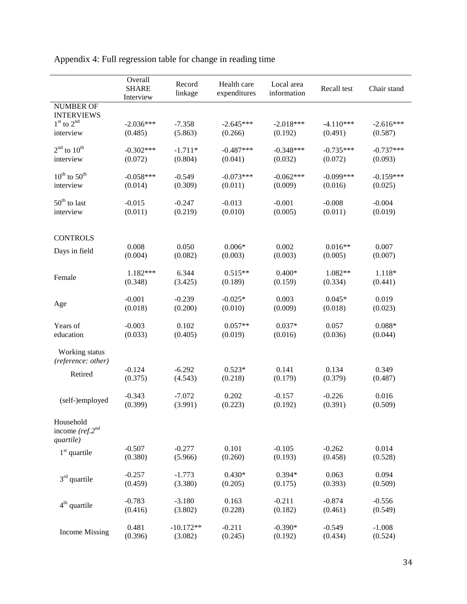|                                              | Overall<br><b>SHARE</b><br>Interview | Record<br>linkage   | Health care<br>expenditures | Local area<br>information | Recall test         | Chair stand      |
|----------------------------------------------|--------------------------------------|---------------------|-----------------------------|---------------------------|---------------------|------------------|
| <b>NUMBER OF</b><br><b>INTERVIEWS</b>        |                                      |                     |                             |                           |                     |                  |
| $1st$ to $2nd$                               | $-2.036***$                          | $-7.358$            | $-2.645***$                 | $-2.018***$               | $-4.110***$         | $-2.616***$      |
| interview                                    | (0.485)                              | (5.863)             | (0.266)                     | (0.192)                   | (0.491)             | (0.587)          |
| $2nd$ to $10th$                              | $-0.302***$                          | $-1.711*$           | $-0.487***$                 | $-0.348***$               | $-0.735***$         | $-0.737***$      |
| interview                                    | (0.072)                              | (0.804)             | (0.041)                     | (0.032)                   | (0.072)             | (0.093)          |
| $10^{\text{th}}$ to $50^{\text{th}}$         | $-0.058***$                          | $-0.549$            | $-0.073***$                 | $-0.062***$               | $-0.099***$         | $-0.159***$      |
| interview                                    | (0.014)                              | (0.309)             | (0.011)                     | (0.009)                   | (0.016)             | (0.025)          |
| $50th$ to last                               | $-0.015$                             | $-0.247$            | $-0.013$                    | $-0.001$                  | $-0.008$            | $-0.004$         |
| interview                                    | (0.011)                              | (0.219)             | (0.010)                     | (0.005)                   | (0.011)             | (0.019)          |
|                                              |                                      |                     |                             |                           |                     |                  |
| <b>CONTROLS</b>                              | 0.008                                | 0.050               | $0.006*$                    | 0.002                     | $0.016**$           | 0.007            |
| Days in field                                | (0.004)                              | (0.082)             | (0.003)                     | (0.003)                   | (0.005)             | (0.007)          |
|                                              | $1.182***$                           | 6.344               | $0.515**$                   | $0.400*$                  | 1.082**             | 1.118*           |
| Female                                       | (0.348)                              | (3.425)             | (0.189)                     | (0.159)                   | (0.334)             | (0.441)          |
| Age                                          | $-0.001$                             | $-0.239$            | $-0.025*$                   | 0.003                     | $0.045*$            | 0.019            |
|                                              | (0.018)                              | (0.200)             | (0.010)                     | (0.009)                   | (0.018)             | (0.023)          |
| Years of                                     | $-0.003$                             | 0.102               | $0.057**$                   | $0.037*$                  | 0.057               | $0.088*$         |
| education                                    | (0.033)                              | (0.405)             | (0.019)                     | (0.016)                   | (0.036)             | (0.044)          |
| Working status<br>(reference: other)         |                                      |                     |                             |                           |                     |                  |
| Retired                                      | $-0.124$<br>(0.375)                  | $-6.292$<br>(4.543) | $0.523*$<br>(0.218)         | 0.141<br>(0.179)          | 0.134<br>(0.379)    | 0.349<br>(0.487) |
|                                              |                                      |                     |                             |                           |                     |                  |
| (self-)employed                              | $-0.343$<br>(0.399)                  | $-7.072$<br>(3.991) | 0.202<br>(0.223)            | $-0.157$<br>(0.192)       | $-0.226$<br>(0.391) | 0.016<br>(0.509) |
|                                              |                                      |                     |                             |                           |                     |                  |
| Household<br>income ( $ref.2nd$<br>quartile) |                                      |                     |                             |                           |                     |                  |
|                                              | $-0.507$                             | $-0.277$            | 0.101                       | $-0.105$                  | $-0.262$            | 0.014            |
| $1st$ quartile                               | (0.380)                              | (5.966)             | (0.260)                     | (0.193)                   | (0.458)             | (0.528)          |
| $3rd$ quartile                               | $-0.257$                             | $-1.773$            | $0.430*$                    | $0.394*$                  | 0.063               | 0.094            |
|                                              | (0.459)                              | (3.380)             | (0.205)                     | (0.175)                   | (0.393)             | (0.509)          |
| $4th$ quartile                               | $-0.783$                             | $-3.180$            | 0.163                       | $-0.211$                  | $-0.874$            | $-0.556$         |
|                                              | (0.416)                              | (3.802)             | (0.228)                     | (0.182)                   | (0.461)             | (0.549)          |
| <b>Income Missing</b>                        | 0.481                                | $-10.172**$         | $-0.211$                    | $-0.390*$                 | $-0.549$            | $-1.008$         |
|                                              | (0.396)                              | (3.082)             | (0.245)                     | (0.192)                   | (0.434)             | (0.524)          |

Appendix 4: Full regression table for change in reading time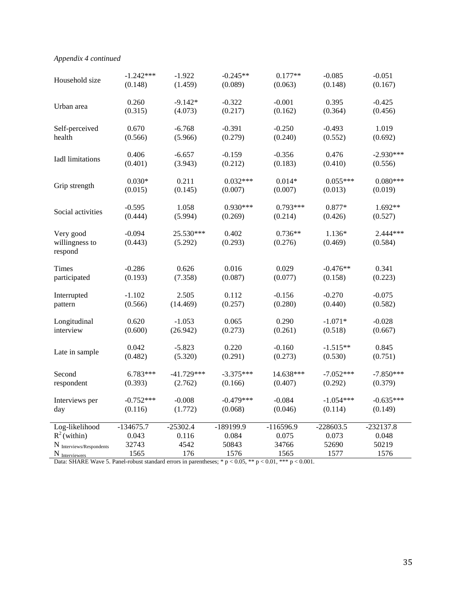# *Appendix 4 continued*

| Household size                         | $-1.242***$         | $-1.922$             | $-0.245**$       | $0.177**$            | $-0.085$          | $-0.051$            |
|----------------------------------------|---------------------|----------------------|------------------|----------------------|-------------------|---------------------|
|                                        | (0.148)             | (1.459)              | (0.089)          | (0.063)              | (0.148)           | (0.167)             |
| Urban area                             | 0.260               | $-9.142*$            | $-0.322$         | $-0.001$             | 0.395             | $-0.425$            |
|                                        | (0.315)             | (4.073)              | (0.217)          | (0.162)              | (0.364)           | (0.456)             |
| Self-perceived                         | 0.670               | $-6.768$             | $-0.391$         | $-0.250$             | $-0.493$          | 1.019               |
| health                                 | (0.566)             | (5.966)              | (0.279)          | (0.240)              | (0.552)           | (0.692)             |
| Iadl limitations                       | 0.406               | $-6.657$             | $-0.159$         | $-0.356$             | 0.476             | $-2.930***$         |
|                                        | (0.401)             | (3.943)              | (0.212)          | (0.183)              | (0.410)           | (0.556)             |
| Grip strength                          | $0.030*$            | 0.211                | $0.032***$       | $0.014*$             | $0.055***$        | $0.080***$          |
|                                        | (0.015)             | (0.145)              | (0.007)          | (0.007)              | (0.013)           | (0.019)             |
| Social activities                      | $-0.595$            | 1.058                | $0.930***$       | $0.793***$           | $0.877*$          | 1.692**             |
|                                        | (0.444)             | (5.994)              | (0.269)          | (0.214)              | (0.426)           | (0.527)             |
| Very good<br>willingness to<br>respond | $-0.094$<br>(0.443) | 25.530***<br>(5.292) | 0.402<br>(0.293) | $0.736**$<br>(0.276) | 1.136*<br>(0.469) | 2.444***<br>(0.584) |
| Times                                  | $-0.286$            | 0.626                | 0.016            | 0.029                | $-0.476**$        | 0.341               |
| participated                           | (0.193)             | (7.358)              | (0.087)          | (0.077)              | (0.158)           | (0.223)             |
| Interrupted                            | $-1.102$            | 2.505                | 0.112            | $-0.156$             | $-0.270$          | $-0.075$            |
| pattern                                | (0.566)             | (14.469)             | (0.257)          | (0.280)              | (0.440)           | (0.582)             |
| Longitudinal                           | 0.620               | $-1.053$             | 0.065            | 0.290                | $-1.071*$         | $-0.028$            |
| interview                              | (0.600)             | (26.942)             | (0.273)          | (0.261)              | (0.518)           | (0.667)             |
| Late in sample                         | 0.042               | $-5.823$             | 0.220            | $-0.160$             | $-1.515**$        | 0.845               |
|                                        | (0.482)             | (5.320)              | (0.291)          | (0.273)              | (0.530)           | (0.751)             |
| Second                                 | 6.783***            | $-41.729***$         | $-3.375***$      | 14.638***            | $-7.052***$       | $-7.850***$         |
| respondent                             | (0.393)             | (2.762)              | (0.166)          | (0.407)              | (0.292)           | (0.379)             |
| Interviews per                         | $-0.752***$         | $-0.008$             | $-0.479***$      | $-0.084$             | $-1.054***$       | $-0.635***$         |
| day                                    | (0.116)             | (1.772)              | (0.068)          | (0.046)              | (0.114)           | (0.149)             |
| Log-likelihood                         | $-134675.7$         | $-25302.4$           | -189199.9        | $-116596.9$          | $-228603.5$       | $-232137.8$         |
| $R^2$ (within)                         | 0.043               | 0.116                | 0.084            | 0.075                | 0.073             | 0.048               |
| $N$ Interviews/Respondents             | 32743               | 4542                 | 50843            | 34766                | 52690             | 50219               |
| N <sub>Interviewers</sub>              | 1565                | 176                  | 1576             | 1565                 | 1577              | 1576                |

Data: SHARE Wave 5. Panel-robust standard errors in parentheses;  $* p < 0.05$ ,  $** p < 0.01$ ,  $*** p < 0.001$ .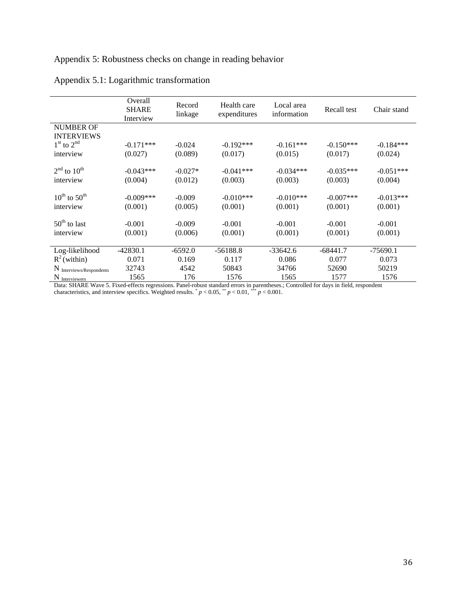# Appendix 5: Robustness checks on change in reading behavior

|                                      | Overall<br><b>SHARE</b><br>Interview | Record<br>linkage | Health care<br>expenditures | Local area<br>information | Recall test | Chair stand |
|--------------------------------------|--------------------------------------|-------------------|-----------------------------|---------------------------|-------------|-------------|
| <b>NUMBER OF</b>                     |                                      |                   |                             |                           |             |             |
| <b>INTERVIEWS</b>                    |                                      |                   |                             |                           |             |             |
| $1st$ to $2nd$                       | $-0.171***$                          | $-0.024$          | $-0.192***$                 | $-0.161***$               | $-0.150***$ | $-0.184***$ |
| interview                            | (0.027)                              | (0.089)           | (0.017)                     | (0.015)                   | (0.017)     | (0.024)     |
|                                      |                                      |                   |                             |                           |             |             |
| $2nd$ to $10th$                      | $-0.043***$                          | $-0.027*$         | $-0.041***$                 | $-0.034***$               | $-0.035***$ | $-0.051***$ |
| interview                            | (0.004)                              | (0.012)           | (0.003)                     | (0.003)                   | (0.003)     | (0.004)     |
|                                      |                                      |                   |                             |                           |             |             |
| $10^{\text{th}}$ to $50^{\text{th}}$ | $-0.009$ ***                         | $-0.009$          | $-0.010***$                 | $-0.010***$               | $-0.007***$ | $-0.013***$ |
| interview                            | (0.001)                              | (0.005)           | (0.001)                     | (0.001)                   | (0.001)     | (0.001)     |
|                                      |                                      |                   |                             |                           |             |             |
| $50th$ to last                       | $-0.001$                             | $-0.009$          | $-0.001$                    | $-0.001$                  | $-0.001$    | $-0.001$    |
| interview                            | (0.001)                              | (0.006)           | (0.001)                     | (0.001)                   | (0.001)     | (0.001)     |
|                                      |                                      |                   |                             |                           |             |             |
| Log-likelihood                       | $-42830.1$                           | $-6592.0$         | $-56188.8$                  | $-33642.6$                | $-68441.7$  | $-75690.1$  |
| $R^2$ (within)                       | 0.071                                | 0.169             | 0.117                       | 0.086                     | 0.077       | 0.073       |
| N Interviews/Respondents             | 32743                                | 4542              | 50843                       | 34766                     | 52690       | 50219       |
| N Interviewers                       | 1565                                 | 176               | 1576                        | 1565                      | 1577        | 1576        |

# Appendix 5.1: Logarithmic transformation

Data: SHARE Wave 5. Fixed-effects regressions. Panel-robust standard errors in parentheses.; Controlled for days in field, respondent characteristics, and interview specifics. Weighted results.  $p < 0.05$ ,  $p < 0.01$ ,  $p < 0.001$ .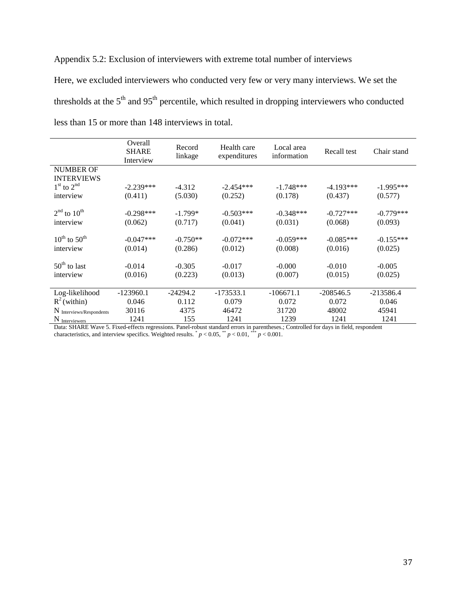Appendix 5.2: Exclusion of interviewers with extreme total number of interviews

Here, we excluded interviewers who conducted very few or very many interviews. We set the thresholds at the  $5<sup>th</sup>$  and  $95<sup>th</sup>$  percentile, which resulted in dropping interviewers who conducted less than 15 or more than 148 interviews in total.

|                                      | Overall<br><b>SHARE</b><br>Interview | Record<br>linkage | Health care<br>expenditures | Local area<br>information | Recall test | Chair stand |
|--------------------------------------|--------------------------------------|-------------------|-----------------------------|---------------------------|-------------|-------------|
| <b>NUMBER OF</b>                     |                                      |                   |                             |                           |             |             |
| <b>INTERVIEWS</b>                    |                                      |                   |                             |                           |             |             |
| $1st$ to $2nd$                       | $-2.239***$                          | $-4.312$          | $-2.454***$                 | $-1.748***$               | $-4.193***$ | $-1.995***$ |
| interview                            | (0.411)                              | (5.030)           | (0.252)                     | (0.178)                   | (0.437)     | (0.577)     |
|                                      |                                      |                   |                             |                           |             |             |
| $2nd$ to $10th$                      | $-0.298***$                          | $-1.799*$         | $-0.503***$                 | $-0.348***$               | $-0.727***$ | $-0.779***$ |
| interview                            | (0.062)                              | (0.717)           | (0.041)                     | (0.031)                   | (0.068)     | (0.093)     |
|                                      |                                      |                   |                             |                           |             |             |
| $10^{\text{th}}$ to $50^{\text{th}}$ | $-0.047***$                          | $-0.750**$        | $-0.072***$                 | $-0.059***$               | $-0.085***$ | $-0.155***$ |
| interview                            | (0.014)                              | (0.286)           | (0.012)                     | (0.008)                   | (0.016)     | (0.025)     |
|                                      |                                      |                   |                             |                           |             |             |
| $50th$ to last                       | $-0.014$                             | $-0.305$          | $-0.017$                    | $-0.000$                  | $-0.010$    | $-0.005$    |
| interview                            | (0.016)                              | (0.223)           | (0.013)                     | (0.007)                   | (0.015)     | (0.025)     |
|                                      |                                      |                   |                             |                           |             |             |
| Log-likelihood                       | $-123960.1$                          | $-24294.2$        | $-173533.1$                 | $-106671.1$               | $-208546.5$ | $-213586.4$ |
| $R^2$ (within)                       | 0.046                                | 0.112             | 0.079                       | 0.072                     | 0.072       | 0.046       |
| N Interviews/Respondents             | 30116                                | 4375              | 46472                       | 31720                     | 48002       | 45941       |
| $N_{\text{Interviewers}}$            | 1241                                 | 155               | 1241                        | 1239                      | 1241        | 1241        |

Data: SHARE Wave 5. Fixed-effects regressions. Panel-robust standard errors in parentheses.; Controlled for days in field, respondent characteristics, and interview specifics. Weighted results.  $p < 0.05$ ,  $p < 0.01$ ,  $p > 0.001$ .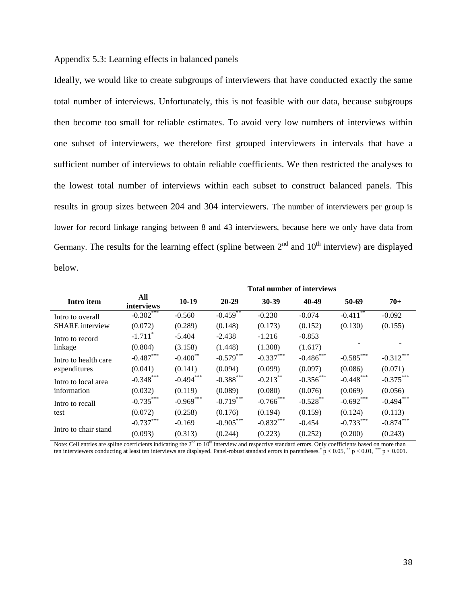### Appendix 5.3: Learning effects in balanced panels

Ideally, we would like to create subgroups of interviewers that have conducted exactly the same total number of interviews. Unfortunately, this is not feasible with our data, because subgroups then become too small for reliable estimates. To avoid very low numbers of interviews within one subset of interviewers, we therefore first grouped interviewers in intervals that have a sufficient number of interviews to obtain reliable coefficients. We then restricted the analyses to the lowest total number of interviews within each subset to construct balanced panels. This results in group sizes between 204 and 304 interviewers. The number of interviewers per group is lower for record linkage ranging between 8 and 43 interviewers, because here we only have data from Germany. The results for the learning effect (spline between  $2<sup>nd</sup>$  and  $10<sup>th</sup>$  interview) are displayed below.

|                        |                       | <b>Total number of interviews</b> |              |              |              |              |             |
|------------------------|-----------------------|-----------------------------------|--------------|--------------|--------------|--------------|-------------|
| Intro item             | All<br>interviews     | $10-19$                           | $20 - 29$    | 30-39        | 40-49        | 50-69        | $70+$       |
| Intro to overall       | $-0.302***$           | $-0.560$                          | $-0.459$     | $-0.230$     | $-0.074$     | $-0.411$ **  | $-0.092$    |
| <b>SHARE</b> interview | (0.072)               | (0.289)                           | (0.148)      | (0.173)      | (0.152)      | (0.130)      | (0.155)     |
| Intro to record        | $-1.711$ <sup>*</sup> | $-5.404$                          | $-2.438$     | $-1.216$     | $-0.853$     |              |             |
| linkage                | (0.804)               | (3.158)                           | (1.448)      | (1.308)      | (1.617)      |              |             |
| Intro to health care   | $-0.487***$           | $-0.400$ <sup>**</sup>            | $-0.579***$  | $-0.337***$  | $-0.486$ *** | $-0.585***$  | $-0.312***$ |
| expenditures           | (0.041)               | (0.141)                           | (0.094)      | (0.099)      | (0.097)      | (0.086)      | (0.071)     |
| Intro to local area    | $-0.348$ ***          | $-0.494***$                       | $-0.388$ *** | $-0.213***$  | $-0.356***$  | $-0.448$ *** | $-0.375***$ |
| information            | (0.032)               | (0.119)                           | (0.089)      | (0.080)      | (0.076)      | (0.069)      | (0.056)     |
| Intro to recall        | $-0.735***$           | $-0.969$ ***                      | $-0.719***$  | $-0.766$ *** | $-0.528$ **  | $-0.692$ *** | $-0.494***$ |
| test                   | (0.072)               | (0.258)                           | (0.176)      | (0.194)      | (0.159)      | (0.124)      | (0.113)     |
|                        | $-0.737***$           | $-0.169$                          | $-0.905***$  | $-0.832***$  | $-0.454$     | $-0.733***$  | $-0.874***$ |
| Intro to chair stand   | (0.093)               | (0.313)                           | (0.244)      | (0.223)      | (0.252)      | (0.200)      | (0.243)     |

Note: Cell entries are spline coefficients indicating the  $2<sup>nd</sup>$  to  $10<sup>th</sup>$  interview and respective standard errors. Only coefficients based on more than ten interviewers conducting at least ten interviews are displayed. Panel-robust standard errors in parentheses.\*  $p < 0.05$ ,\*\*  $p < 0.01$ ,\*\*\*  $p < 0.001$ .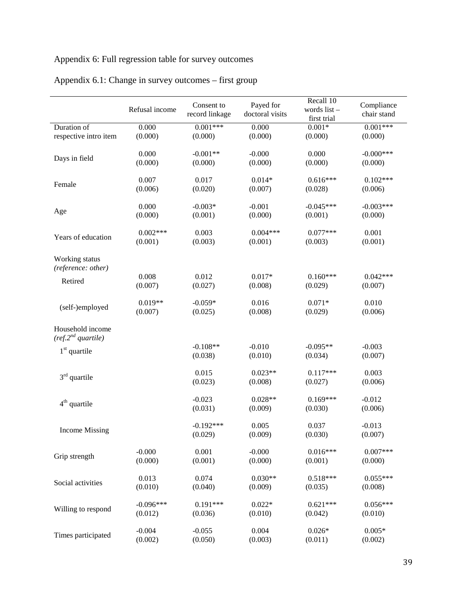# Appendix 6: Full regression table for survey outcomes

|                                                    | Refusal income | Consent to<br>record linkage | Payed for<br>doctoral visits | Recall 10<br>words list-<br>first trial | Compliance<br>chair stand |
|----------------------------------------------------|----------------|------------------------------|------------------------------|-----------------------------------------|---------------------------|
| Duration of                                        | 0.000          | $0.001***$                   | 0.000                        | $0.001*$                                | $0.001***$                |
| respective intro item                              | (0.000)        | (0.000)                      | (0.000)                      | (0.000)                                 | (0.000)                   |
| Days in field                                      | 0.000          | $-0.001**$                   | $-0.000$                     | 0.000                                   | $-0.000$ ***              |
|                                                    | (0.000)        | (0.000)                      | (0.000)                      | (0.000)                                 | (0.000)                   |
| Female                                             | 0.007          | 0.017                        | $0.014*$                     | $0.616***$                              | $0.102***$                |
|                                                    | (0.006)        | (0.020)                      | (0.007)                      | (0.028)                                 | (0.006)                   |
| Age                                                | 0.000          | $-0.003*$                    | $-0.001$                     | $-0.045***$                             | $-0.003***$               |
|                                                    | (0.000)        | (0.001)                      | (0.000)                      | (0.001)                                 | (0.000)                   |
| Years of education                                 | $0.002***$     | 0.003                        | $0.004***$                   | $0.077***$                              | 0.001                     |
|                                                    | (0.001)        | (0.003)                      | (0.001)                      | (0.003)                                 | (0.001)                   |
| Working status<br>(reference: other)               |                |                              |                              |                                         |                           |
| Retired                                            | 0.008          | 0.012                        | $0.017*$                     | $0.160***$                              | $0.042***$                |
|                                                    | (0.007)        | (0.027)                      | (0.008)                      | (0.029)                                 | (0.007)                   |
| (self-)employed                                    | $0.019**$      | $-0.059*$                    | 0.016                        | $0.071*$                                | 0.010                     |
|                                                    | (0.007)        | (0.025)                      | (0.008)                      | (0.029)                                 | (0.006)                   |
| Household income<br>(ref.2 <sup>nd</sup> quartile) |                |                              |                              |                                         |                           |
| $1st$ quartile                                     |                | $-0.108**$<br>(0.038)        | $-0.010$<br>(0.010)          | $-0.095**$<br>(0.034)                   | $-0.003$<br>(0.007)       |
| $3rd$ quartile                                     |                | 0.015<br>(0.023)             | $0.023**$<br>(0.008)         | $0.117***$<br>(0.027)                   | 0.003<br>(0.006)          |
| $4th$ quartile                                     |                | $-0.023$<br>(0.031)          | $0.028**$<br>(0.009)         | $0.169***$<br>(0.030)                   | $-0.012$<br>(0.006)       |
| <b>Income Missing</b>                              |                | $-0.192***$<br>(0.029)       | 0.005<br>(0.009)             | 0.037<br>(0.030)                        | $-0.013$<br>(0.007)       |
| Grip strength                                      | $-0.000$       | 0.001                        | $-0.000$                     | $0.016***$                              | $0.007***$                |
|                                                    | (0.000)        | (0.001)                      | (0.000)                      | (0.001)                                 | (0.000)                   |
| Social activities                                  | 0.013          | 0.074                        | $0.030**$                    | $0.518***$                              | $0.055***$                |
|                                                    | (0.010)        | (0.040)                      | (0.009)                      | (0.035)                                 | (0.008)                   |
| Willing to respond                                 | $-0.096***$    | $0.191***$                   | $0.022*$                     | $0.621***$                              | $0.056***$                |
|                                                    | (0.012)        | (0.036)                      | (0.010)                      | (0.042)                                 | (0.010)                   |
| Times participated                                 | $-0.004$       | $-0.055$                     | 0.004                        | $0.026*$                                | $0.005*$                  |
|                                                    | (0.002)        | (0.050)                      | (0.003)                      | (0.011)                                 | (0.002)                   |

# Appendix 6.1: Change in survey outcomes – first group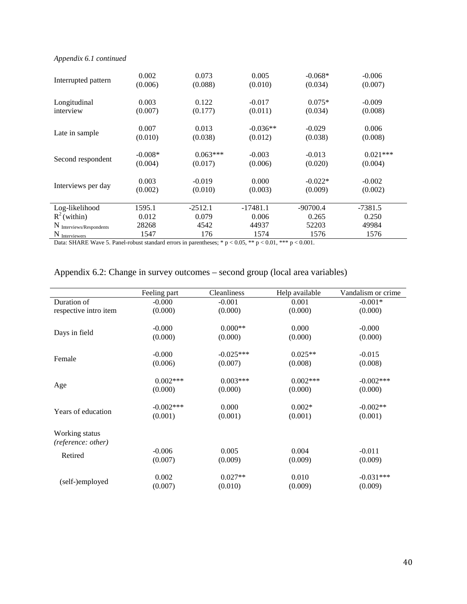### *Appendix 6.1 continued*

| Interrupted pattern      | 0.002     | 0.073      | 0.005      | $-0.068*$  | $-0.006$   |
|--------------------------|-----------|------------|------------|------------|------------|
|                          | (0.006)   | (0.088)    | (0.010)    | (0.034)    | (0.007)    |
| Longitudinal             | 0.003     | 0.122      | $-0.017$   | $0.075*$   | $-0.009$   |
| interview                | (0.007)   | (0.177)    | (0.011)    | (0.034)    | (0.008)    |
| Late in sample           | 0.007     | 0.013      | $-0.036**$ | $-0.029$   | 0.006      |
|                          | (0.010)   | (0.038)    | (0.012)    | (0.038)    | (0.008)    |
| Second respondent        | $-0.008*$ | $0.063***$ | $-0.003$   | $-0.013$   | $0.021***$ |
|                          | (0.004)   | (0.017)    | (0.006)    | (0.020)    | (0.004)    |
| Interviews per day       | 0.003     | $-0.019$   | 0.000      | $-0.022*$  | $-0.002$   |
|                          | (0.002)   | (0.010)    | (0.003)    | (0.009)    | (0.002)    |
| Log-likelihood           | 1595.1    | $-2512.1$  | $-17481.1$ | $-90700.4$ | $-7381.5$  |
| $R^2$ (within)           | 0.012     | 0.079      | 0.006      | 0.265      | 0.250      |
| N Interviews/Respondents | 28268     | 4542       | 44937      | 52203      | 49984      |
| N Interviewers           | 1547      | 176        | 1574       | 1576       | 1576       |

Data: SHARE Wave 5. Panel-robust standard errors in parentheses;  $* p < 0.05$ ,  $** p < 0.01$ ,  $*** p < 0.001$ .

# Appendix 6.2: Change in survey outcomes – second group (local area variables)

|                       | Feeling part | Cleanliness | Help available | Vandalism or crime |
|-----------------------|--------------|-------------|----------------|--------------------|
| Duration of           | $-0.000$     | $-0.001$    | 0.001          | $-0.001*$          |
| respective intro item | (0.000)      | (0.000)     | (0.000)        | (0.000)            |
|                       | $-0.000$     | $0.000**$   | 0.000          | $-0.000$           |
| Days in field         | (0.000)      | (0.000)     | (0.000)        | (0.000)            |
|                       | $-0.000$     | $-0.025***$ | $0.025**$      | $-0.015$           |
| Female                | (0.006)      | (0.007)     | (0.008)        | (0.008)            |
|                       | $0.002***$   | $0.003***$  | $0.002***$     | $-0.002***$        |
| Age                   | (0.000)      | (0.000)     | (0.000)        | (0.000)            |
|                       | $-0.002***$  | 0.000       | $0.002*$       | $-0.002**$         |
| Years of education    | (0.001)      | (0.001)     | (0.001)        | (0.001)            |
| Working status        |              |             |                |                    |
| (reference: other)    |              |             |                |                    |
|                       | $-0.006$     | 0.005       | 0.004          | $-0.011$           |
| Retired               | (0.007)      | (0.009)     | (0.009)        | (0.009)            |
|                       | 0.002        | $0.027**$   | 0.010          | $-0.031***$        |
| (self-)employed       | (0.007)      | (0.010)     | (0.009)        | (0.009)            |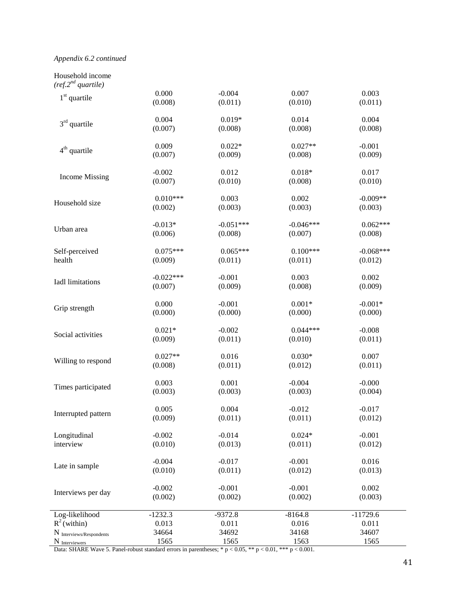### *Appendix 6.2 continued*

Household income

| (ref.2 <sup>nd</sup> quartile) |                                                                  |             |                                                                                                                                                                           |             |
|--------------------------------|------------------------------------------------------------------|-------------|---------------------------------------------------------------------------------------------------------------------------------------------------------------------------|-------------|
| $1st$ quartile                 | 0.000                                                            | $-0.004$    | 0.007                                                                                                                                                                     | 0.003       |
|                                | (0.008)                                                          | (0.011)     | (0.010)                                                                                                                                                                   | (0.011)     |
| $3rd$ quartile                 | 0.004                                                            | $0.019*$    | 0.014                                                                                                                                                                     | 0.004       |
|                                | (0.007)                                                          | (0.008)     | (0.008)                                                                                                                                                                   | (0.008)     |
| $4th$ quartile                 | 0.009                                                            | $0.022*$    | $0.027**$                                                                                                                                                                 | $-0.001$    |
|                                | (0.007)                                                          | (0.009)     | (0.008)                                                                                                                                                                   | (0.009)     |
| <b>Income Missing</b>          | $-0.002$                                                         | 0.012       | $0.018*$                                                                                                                                                                  | 0.017       |
|                                | (0.007)                                                          | (0.010)     | (0.008)<br>0.002<br>(0.003)<br>$-0.046***$<br>(0.007)<br>$0.100***$<br>(0.011)<br>0.003<br>(0.008)<br>$0.001*$<br>(0.000)<br>$0.044***$<br>(0.010)<br>$0.030*$<br>(0.012) | (0.010)     |
| Household size                 | $0.010***$                                                       | 0.003       |                                                                                                                                                                           | $-0.009**$  |
|                                | (0.002)                                                          | (0.003)     |                                                                                                                                                                           | (0.003)     |
| Urban area                     | $-0.013*$                                                        | $-0.051***$ |                                                                                                                                                                           | $0.062***$  |
|                                | (0.006)                                                          | (0.008)     |                                                                                                                                                                           | (0.008)     |
| Self-perceived                 | $0.075***$                                                       | $0.065***$  |                                                                                                                                                                           | $-0.068***$ |
| health                         | (0.009)                                                          | (0.011)     |                                                                                                                                                                           | (0.012)     |
|                                | $-0.022***$                                                      | $-0.001$    |                                                                                                                                                                           | 0.002       |
| Iadl limitations               | (0.007)                                                          | (0.009)     |                                                                                                                                                                           | (0.009)     |
|                                | 0.000                                                            | $-0.001$    |                                                                                                                                                                           | $-0.001*$   |
| Grip strength                  | (0.000)<br>(0.000)<br>$0.021*$<br>$-0.002$<br>(0.009)<br>(0.011) | (0.000)     |                                                                                                                                                                           |             |
| Social activities              |                                                                  |             |                                                                                                                                                                           | $-0.008$    |
|                                |                                                                  |             | $-0.004$<br>(0.003)<br>$-0.012$<br>(0.011)<br>$0.024*$<br>(0.011)<br>$-0.001$<br>(0.012)<br>$-0.001$<br>(0.002)<br>$-8164.8$<br>0.016<br>34168<br>1563                    | (0.011)     |
| Willing to respond             | $0.027**$                                                        | 0.016       |                                                                                                                                                                           | 0.007       |
|                                | (0.008)                                                          | (0.011)     |                                                                                                                                                                           | (0.011)     |
| Times participated             | 0.003                                                            | 0.001       |                                                                                                                                                                           | $-0.000$    |
|                                | (0.003)                                                          | (0.003)     |                                                                                                                                                                           | (0.004)     |
| Interrupted pattern            | 0.005                                                            | 0.004       |                                                                                                                                                                           | $-0.017$    |
|                                | (0.009)                                                          | (0.011)     |                                                                                                                                                                           | (0.012)     |
| Longitudinal                   | $-0.002$                                                         | $-0.014$    |                                                                                                                                                                           | $-0.001$    |
| interview                      | (0.010)                                                          | (0.013)     |                                                                                                                                                                           | (0.012)     |
|                                | $-0.004$                                                         | $-0.017$    |                                                                                                                                                                           | 0.016       |
| Late in sample                 | (0.010)                                                          | (0.011)     |                                                                                                                                                                           | (0.013)     |
|                                | $-0.002$                                                         | $-0.001$    |                                                                                                                                                                           | 0.002       |
| Interviews per day             | (0.002)                                                          | (0.002)     |                                                                                                                                                                           | (0.003)     |
| Log-likelihood                 | $-1232.3$                                                        | $-9372.8$   |                                                                                                                                                                           | $-11729.6$  |
| $R^2$ (within)                 | 0.013                                                            | 0.011       |                                                                                                                                                                           | 0.011       |
| N Interviews/Respondents       | 34664                                                            | 34692       |                                                                                                                                                                           | 34607       |
| N Interviewers                 | 1565                                                             | 1565        |                                                                                                                                                                           | 1565        |

Data: SHARE Wave 5. Panel-robust standard errors in parentheses;  $* p < 0.05$ ,  $** p < 0.01$ ,  $*** p < 0.001$ .